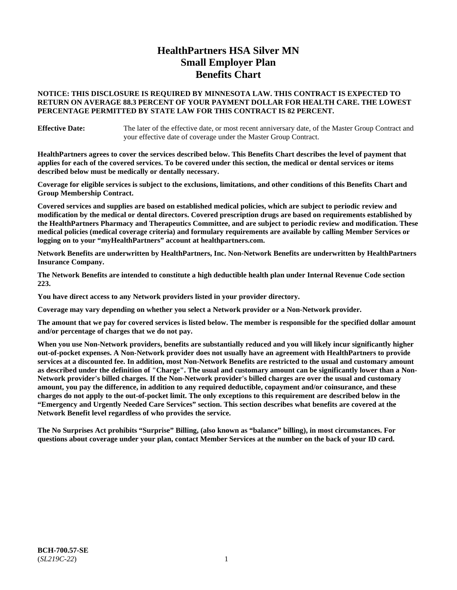# **HealthPartners HSA Silver MN Small Employer Plan Benefits Chart**

### **NOTICE: THIS DISCLOSURE IS REQUIRED BY MINNESOTA LAW. THIS CONTRACT IS EXPECTED TO RETURN ON AVERAGE 88.3 PERCENT OF YOUR PAYMENT DOLLAR FOR HEALTH CARE. THE LOWEST PERCENTAGE PERMITTED BY STATE LAW FOR THIS CONTRACT IS 82 PERCENT.**

**Effective Date:** The later of the effective date, or most recent anniversary date, of the Master Group Contract and your effective date of coverage under the Master Group Contract.

**HealthPartners agrees to cover the services described below. This Benefits Chart describes the level of payment that applies for each of the covered services. To be covered under this section, the medical or dental services or items described below must be medically or dentally necessary.**

**Coverage for eligible services is subject to the exclusions, limitations, and other conditions of this Benefits Chart and Group Membership Contract.**

**Covered services and supplies are based on established medical policies, which are subject to periodic review and modification by the medical or dental directors. Covered prescription drugs are based on requirements established by the HealthPartners Pharmacy and Therapeutics Committee, and are subject to periodic review and modification. These medical policies (medical coverage criteria) and formulary requirements are available by calling Member Services or logging on to your "myHealthPartners" account at [healthpartners.com.](https://www.healthpartners.com/hp/index.html)**

**Network Benefits are underwritten by HealthPartners, Inc. Non-Network Benefits are underwritten by HealthPartners Insurance Company.** 

**The Network Benefits are intended to constitute a high deductible health plan under Internal Revenue Code section 223.** 

**You have direct access to any Network providers listed in your provider directory.**

**Coverage may vary depending on whether you select a Network provider or a Non-Network provider.**

**The amount that we pay for covered services is listed below. The member is responsible for the specified dollar amount and/or percentage of charges that we do not pay.**

**When you use Non-Network providers, benefits are substantially reduced and you will likely incur significantly higher out-of-pocket expenses. A Non-Network provider does not usually have an agreement with HealthPartners to provide services at a discounted fee. In addition, most Non-Network Benefits are restricted to the usual and customary amount as described under the definition of "Charge". The usual and customary amount can be significantly lower than a Non-Network provider's billed charges. If the Non-Network provider's billed charges are over the usual and customary amount, you pay the difference, in addition to any required deductible, copayment and/or coinsurance, and these charges do not apply to the out-of-pocket limit. The only exceptions to this requirement are described below in the "Emergency and Urgently Needed Care Services" section. This section describes what benefits are covered at the Network Benefit level regardless of who provides the service.**

**The No Surprises Act prohibits "Surprise" Billing, (also known as "balance" billing), in most circumstances. For questions about coverage under your plan, contact Member Services at the number on the back of your ID card.**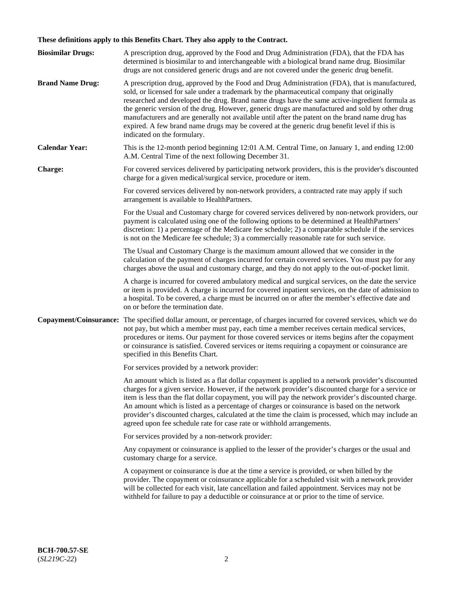# **These definitions apply to this Benefits Chart. They also apply to the Contract.**

| <b>Biosimilar Drugs:</b> | A prescription drug, approved by the Food and Drug Administration (FDA), that the FDA has<br>determined is biosimilar to and interchangeable with a biological brand name drug. Biosimilar<br>drugs are not considered generic drugs and are not covered under the generic drug benefit.                                                                                                                                                                                                                                                                                                                                           |
|--------------------------|------------------------------------------------------------------------------------------------------------------------------------------------------------------------------------------------------------------------------------------------------------------------------------------------------------------------------------------------------------------------------------------------------------------------------------------------------------------------------------------------------------------------------------------------------------------------------------------------------------------------------------|
| <b>Brand Name Drug:</b>  | A prescription drug, approved by the Food and Drug Administration (FDA), that is manufactured,<br>sold, or licensed for sale under a trademark by the pharmaceutical company that originally<br>researched and developed the drug. Brand name drugs have the same active-ingredient formula as<br>the generic version of the drug. However, generic drugs are manufactured and sold by other drug<br>manufacturers and are generally not available until after the patent on the brand name drug has<br>expired. A few brand name drugs may be covered at the generic drug benefit level if this is<br>indicated on the formulary. |
| <b>Calendar Year:</b>    | This is the 12-month period beginning 12:01 A.M. Central Time, on January 1, and ending 12:00<br>A.M. Central Time of the next following December 31.                                                                                                                                                                                                                                                                                                                                                                                                                                                                              |
| <b>Charge:</b>           | For covered services delivered by participating network providers, this is the provider's discounted<br>charge for a given medical/surgical service, procedure or item.                                                                                                                                                                                                                                                                                                                                                                                                                                                            |
|                          | For covered services delivered by non-network providers, a contracted rate may apply if such<br>arrangement is available to HealthPartners.                                                                                                                                                                                                                                                                                                                                                                                                                                                                                        |
|                          | For the Usual and Customary charge for covered services delivered by non-network providers, our<br>payment is calculated using one of the following options to be determined at HealthPartners'<br>discretion: 1) a percentage of the Medicare fee schedule; 2) a comparable schedule if the services<br>is not on the Medicare fee schedule; 3) a commercially reasonable rate for such service.                                                                                                                                                                                                                                  |
|                          | The Usual and Customary Charge is the maximum amount allowed that we consider in the<br>calculation of the payment of charges incurred for certain covered services. You must pay for any<br>charges above the usual and customary charge, and they do not apply to the out-of-pocket limit.                                                                                                                                                                                                                                                                                                                                       |
|                          | A charge is incurred for covered ambulatory medical and surgical services, on the date the service<br>or item is provided. A charge is incurred for covered inpatient services, on the date of admission to<br>a hospital. To be covered, a charge must be incurred on or after the member's effective date and<br>on or before the termination date.                                                                                                                                                                                                                                                                              |
| Copayment/Coinsurance:   | The specified dollar amount, or percentage, of charges incurred for covered services, which we do<br>not pay, but which a member must pay, each time a member receives certain medical services,<br>procedures or items. Our payment for those covered services or items begins after the copayment<br>or coinsurance is satisfied. Covered services or items requiring a copayment or coinsurance are<br>specified in this Benefits Chart.                                                                                                                                                                                        |
|                          | For services provided by a network provider:                                                                                                                                                                                                                                                                                                                                                                                                                                                                                                                                                                                       |
|                          | An amount which is listed as a flat dollar copayment is applied to a network provider's discounted<br>charges for a given service. However, if the network provider's discounted charge for a service or<br>item is less than the flat dollar copayment, you will pay the network provider's discounted charge.<br>An amount which is listed as a percentage of charges or coinsurance is based on the network<br>provider's discounted charges, calculated at the time the claim is processed, which may include an<br>agreed upon fee schedule rate for case rate or withhold arrangements.                                      |
|                          | For services provided by a non-network provider:                                                                                                                                                                                                                                                                                                                                                                                                                                                                                                                                                                                   |
|                          | Any copayment or coinsurance is applied to the lesser of the provider's charges or the usual and<br>customary charge for a service.                                                                                                                                                                                                                                                                                                                                                                                                                                                                                                |
|                          | A copayment or coinsurance is due at the time a service is provided, or when billed by the<br>provider. The copayment or coinsurance applicable for a scheduled visit with a network provider<br>will be collected for each visit, late cancellation and failed appointment. Services may not be<br>withheld for failure to pay a deductible or coinsurance at or prior to the time of service.                                                                                                                                                                                                                                    |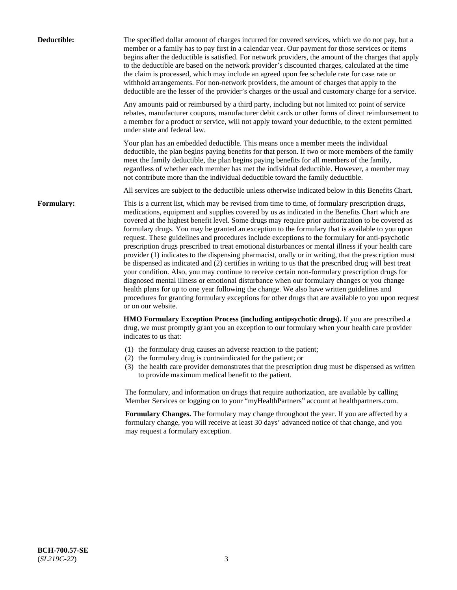| Deductible: | The specified dollar amount of charges incurred for covered services, which we do not pay, but a<br>member or a family has to pay first in a calendar year. Our payment for those services or items<br>begins after the deductible is satisfied. For network providers, the amount of the charges that apply<br>to the deductible are based on the network provider's discounted charges, calculated at the time<br>the claim is processed, which may include an agreed upon fee schedule rate for case rate or<br>withhold arrangements. For non-network providers, the amount of charges that apply to the<br>deductible are the lesser of the provider's charges or the usual and customary charge for a service.                                                                                                                                                                                                                                                                                                                                                                                                                                                                                                                                             |
|-------------|------------------------------------------------------------------------------------------------------------------------------------------------------------------------------------------------------------------------------------------------------------------------------------------------------------------------------------------------------------------------------------------------------------------------------------------------------------------------------------------------------------------------------------------------------------------------------------------------------------------------------------------------------------------------------------------------------------------------------------------------------------------------------------------------------------------------------------------------------------------------------------------------------------------------------------------------------------------------------------------------------------------------------------------------------------------------------------------------------------------------------------------------------------------------------------------------------------------------------------------------------------------|
|             | Any amounts paid or reimbursed by a third party, including but not limited to: point of service<br>rebates, manufacturer coupons, manufacturer debit cards or other forms of direct reimbursement to<br>a member for a product or service, will not apply toward your deductible, to the extent permitted<br>under state and federal law.                                                                                                                                                                                                                                                                                                                                                                                                                                                                                                                                                                                                                                                                                                                                                                                                                                                                                                                        |
|             | Your plan has an embedded deductible. This means once a member meets the individual<br>deductible, the plan begins paying benefits for that person. If two or more members of the family<br>meet the family deductible, the plan begins paying benefits for all members of the family,<br>regardless of whether each member has met the individual deductible. However, a member may<br>not contribute more than the individual deductible toward the family deductible.                                                                                                                                                                                                                                                                                                                                                                                                                                                                                                                                                                                                                                                                                                                                                                                         |
|             | All services are subject to the deductible unless otherwise indicated below in this Benefits Chart.                                                                                                                                                                                                                                                                                                                                                                                                                                                                                                                                                                                                                                                                                                                                                                                                                                                                                                                                                                                                                                                                                                                                                              |
| Formulary:  | This is a current list, which may be revised from time to time, of formulary prescription drugs,<br>medications, equipment and supplies covered by us as indicated in the Benefits Chart which are<br>covered at the highest benefit level. Some drugs may require prior authorization to be covered as<br>formulary drugs. You may be granted an exception to the formulary that is available to you upon<br>request. These guidelines and procedures include exceptions to the formulary for anti-psychotic<br>prescription drugs prescribed to treat emotional disturbances or mental illness if your health care<br>provider (1) indicates to the dispensing pharmacist, orally or in writing, that the prescription must<br>be dispensed as indicated and (2) certifies in writing to us that the prescribed drug will best treat<br>your condition. Also, you may continue to receive certain non-formulary prescription drugs for<br>diagnosed mental illness or emotional disturbance when our formulary changes or you change<br>health plans for up to one year following the change. We also have written guidelines and<br>procedures for granting formulary exceptions for other drugs that are available to you upon request<br>or on our website. |
|             | HMO Formulary Exception Process (including antipsychotic drugs). If you are prescribed a<br>drug, we must promptly grant you an exception to our formulary when your health care provider<br>indicates to us that:                                                                                                                                                                                                                                                                                                                                                                                                                                                                                                                                                                                                                                                                                                                                                                                                                                                                                                                                                                                                                                               |
|             | (1) the formulary drug causes an adverse reaction to the patient;<br>(2) the formulary drug is contraindicated for the patient; or<br>(3) the health care provider demonstrates that the prescription drug must be dispensed as written<br>to provide maximum medical benefit to the patient.                                                                                                                                                                                                                                                                                                                                                                                                                                                                                                                                                                                                                                                                                                                                                                                                                                                                                                                                                                    |
|             | The formulary, and information on drugs that require authorization, are available by calling<br>Member Services or logging on to your "myHealthPartners" account at healthpartners.com.                                                                                                                                                                                                                                                                                                                                                                                                                                                                                                                                                                                                                                                                                                                                                                                                                                                                                                                                                                                                                                                                          |
|             | Formulary Changes. The formulary may change throughout the year. If you are affected by a<br>formulary change, you will receive at least 30 days' advanced notice of that change, and you<br>may request a formulary exception.                                                                                                                                                                                                                                                                                                                                                                                                                                                                                                                                                                                                                                                                                                                                                                                                                                                                                                                                                                                                                                  |
|             |                                                                                                                                                                                                                                                                                                                                                                                                                                                                                                                                                                                                                                                                                                                                                                                                                                                                                                                                                                                                                                                                                                                                                                                                                                                                  |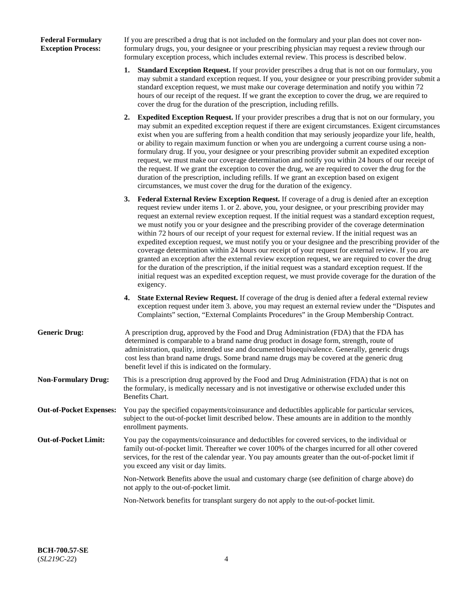### **Federal Formulary Exception Process:**

If you are prescribed a drug that is not included on the formulary and your plan does not cover nonformulary drugs, you, your designee or your prescribing physician may request a review through our formulary exception process, which includes external review. This process is described below.

- **1. Standard Exception Request.** If your provider prescribes a drug that is not on our formulary, you may submit a standard exception request. If you, your designee or your prescribing provider submit a standard exception request, we must make our coverage determination and notify you within 72 hours of our receipt of the request. If we grant the exception to cover the drug, we are required to cover the drug for the duration of the prescription, including refills.
- **2. Expedited Exception Request.** If your provider prescribes a drug that is not on our formulary, you may submit an expedited exception request if there are exigent circumstances. Exigent circumstances exist when you are suffering from a health condition that may seriously jeopardize your life, health, or ability to regain maximum function or when you are undergoing a current course using a nonformulary drug. If you, your designee or your prescribing provider submit an expedited exception request, we must make our coverage determination and notify you within 24 hours of our receipt of the request. If we grant the exception to cover the drug, we are required to cover the drug for the duration of the prescription, including refills. If we grant an exception based on exigent circumstances, we must cover the drug for the duration of the exigency.
- **3. Federal External Review Exception Request.** If coverage of a drug is denied after an exception request review under items 1. or 2. above, you, your designee, or your prescribing provider may request an external review exception request. If the initial request was a standard exception request, we must notify you or your designee and the prescribing provider of the coverage determination within 72 hours of our receipt of your request for external review. If the initial request was an expedited exception request, we must notify you or your designee and the prescribing provider of the coverage determination within 24 hours our receipt of your request for external review. If you are granted an exception after the external review exception request, we are required to cover the drug for the duration of the prescription, if the initial request was a standard exception request. If the initial request was an expedited exception request, we must provide coverage for the duration of the exigency.
- **4. State External Review Request.** If coverage of the drug is denied after a federal external review exception request under item 3. above, you may request an external review under the "Disputes and Complaints" section, "External Complaints Procedures" in the Group Membership Contract.
- **Generic Drug:** A prescription drug, approved by the Food and Drug Administration (FDA) that the FDA has determined is comparable to a brand name drug product in dosage form, strength, route of administration, quality, intended use and documented bioequivalence. Generally, generic drugs cost less than brand name drugs. Some brand name drugs may be covered at the generic drug benefit level if this is indicated on the formulary.
- **Non-Formulary Drug:** This is a prescription drug approved by the Food and Drug Administration (FDA) that is not on the formulary, is medically necessary and is not investigative or otherwise excluded under this Benefits Chart.
- **Out-of-Pocket Expenses:** You pay the specified copayments/coinsurance and deductibles applicable for particular services, subject to the out-of-pocket limit described below. These amounts are in addition to the monthly enrollment payments.
- **Out-of-Pocket Limit:** You pay the copayments/coinsurance and deductibles for covered services, to the individual or family out-of-pocket limit. Thereafter we cover 100% of the charges incurred for all other covered services, for the rest of the calendar year. You pay amounts greater than the out-of-pocket limit if you exceed any visit or day limits.

Non-Network Benefits above the usual and customary charge (see definition of charge above) do not apply to the out-of-pocket limit.

Non-Network benefits for transplant surgery do not apply to the out-of-pocket limit.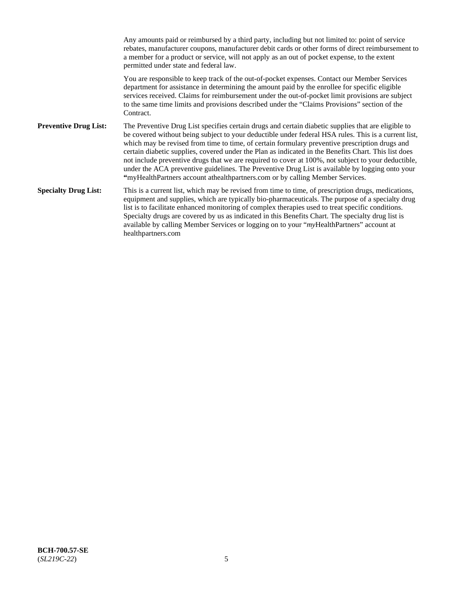Any amounts paid or reimbursed by a third party, including but not limited to: point of service rebates, manufacturer coupons, manufacturer debit cards or other forms of direct reimbursement to a member for a product or service, will not apply as an out of pocket expense, to the extent permitted under state and federal law. You are responsible to keep track of the out-of-pocket expenses. Contact our Member Services department for assistance in determining the amount paid by the enrollee for specific eligible services received. Claims for reimbursement under the out-of-pocket limit provisions are subject to the same time limits and provisions described under the "Claims Provisions" section of the **Contract Preventive Drug List:** The Preventive Drug List specifies certain drugs and certain diabetic supplies that are eligible to be covered without being subject to your deductible under federal HSA rules. This is a current list, which may be revised from time to time, of certain formulary preventive prescription drugs and certain diabetic supplies, covered under the Plan as indicated in the Benefits Chart. This list does not include preventive drugs that we are required to cover at 100%, not subject to your deductible, under the ACA preventive guidelines. The Preventive Drug List is available by logging onto your **"**myHealthPartners account athealthpartners.com or by calling Member Services. **Specialty Drug List:** This is a current list, which may be revised from time to time, of prescription drugs, medications, equipment and supplies, which are typically bio-pharmaceuticals. The purpose of a specialty drug list is to facilitate enhanced monitoring of complex therapies used to treat specific conditions. Specialty drugs are covered by us as indicated in this Benefits Chart. The specialty drug list is available by calling Member Services or logging on to your "*my*HealthPartners" account at [healthpartners.com](https://www.healthpartners.com/hp/index.html)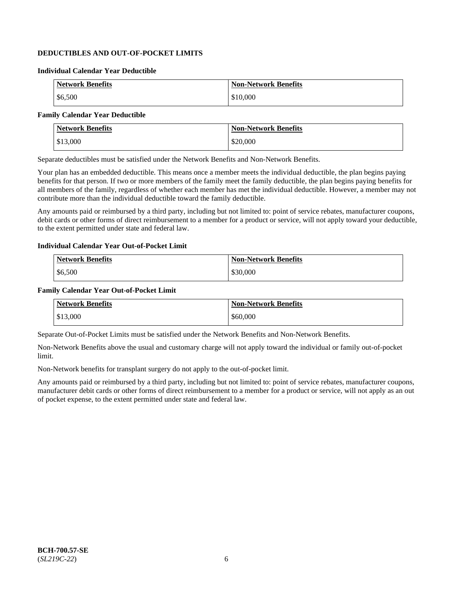## **DEDUCTIBLES AND OUT-OF-POCKET LIMITS**

### **Individual Calendar Year Deductible**

| <b>Network Benefits</b> | <b>Non-Network Benefits</b> |
|-------------------------|-----------------------------|
| \$6,500                 | \$10,000                    |

### **Family Calendar Year Deductible**

| <b>Network Benefits</b> | <b>Non-Network Benefits</b> |
|-------------------------|-----------------------------|
| \$13,000                | \$20,000                    |

Separate deductibles must be satisfied under the Network Benefits and Non-Network Benefits.

Your plan has an embedded deductible. This means once a member meets the individual deductible, the plan begins paying benefits for that person. If two or more members of the family meet the family deductible, the plan begins paying benefits for all members of the family, regardless of whether each member has met the individual deductible. However, a member may not contribute more than the individual deductible toward the family deductible.

Any amounts paid or reimbursed by a third party, including but not limited to: point of service rebates, manufacturer coupons, debit cards or other forms of direct reimbursement to a member for a product or service, will not apply toward your deductible, to the extent permitted under state and federal law.

#### **Individual Calendar Year Out-of-Pocket Limit**

| <b>Network Benefits</b> | <b>Non-Network Benefits</b> |
|-------------------------|-----------------------------|
| \$6,500                 | \$30,000                    |

#### **Family Calendar Year Out-of-Pocket Limit**

| <b>Network Benefits</b> | <b>Non-Network Benefits</b> |
|-------------------------|-----------------------------|
| \$13,000                | \$60,000                    |

Separate Out-of-Pocket Limits must be satisfied under the Network Benefits and Non-Network Benefits.

Non-Network Benefits above the usual and customary charge will not apply toward the individual or family out-of-pocket limit.

Non-Network benefits for transplant surgery do not apply to the out-of-pocket limit.

Any amounts paid or reimbursed by a third party, including but not limited to: point of service rebates, manufacturer coupons, manufacturer debit cards or other forms of direct reimbursement to a member for a product or service, will not apply as an out of pocket expense, to the extent permitted under state and federal law.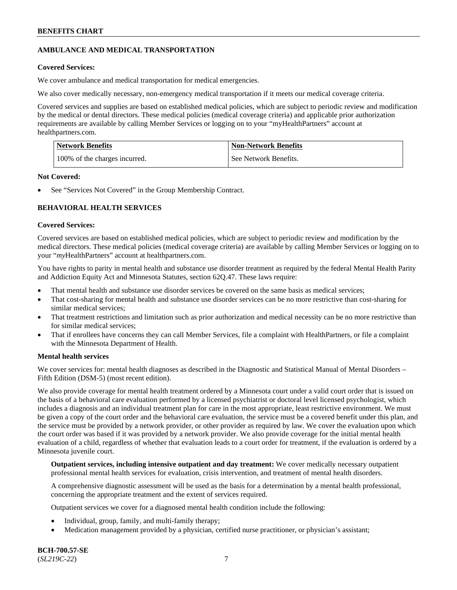## **AMBULANCE AND MEDICAL TRANSPORTATION**

### **Covered Services:**

We cover ambulance and medical transportation for medical emergencies.

We also cover medically necessary, non-emergency medical transportation if it meets our medical coverage criteria.

Covered services and supplies are based on established medical policies, which are subject to periodic review and modification by the medical or dental directors. These medical policies (medical coverage criteria) and applicable prior authorization requirements are available by calling Member Services or logging on to your "myHealthPartners" account at [healthpartners.com.](https://www.healthpartners.com/hp/index.html)

| <b>Network Benefits</b>       | <b>Non-Network Benefits</b> |
|-------------------------------|-----------------------------|
| 100% of the charges incurred. | See Network Benefits.       |

#### **Not Covered:**

See "Services Not Covered" in the Group Membership Contract.

## **BEHAVIORAL HEALTH SERVICES**

#### **Covered Services:**

Covered services are based on established medical policies, which are subject to periodic review and modification by the medical directors. These medical policies (medical coverage criteria) are available by calling Member Services or logging on to your "*my*HealthPartners" account at [healthpartners.com.](http://www.healthpartners.com/)

You have rights to parity in mental health and substance use disorder treatment as required by the federal Mental Health Parity and Addiction Equity Act and Minnesota Statutes, section 62Q.47. These laws require:

- That mental health and substance use disorder services be covered on the same basis as medical services;
- That cost-sharing for mental health and substance use disorder services can be no more restrictive than cost-sharing for similar medical services;
- That treatment restrictions and limitation such as prior authorization and medical necessity can be no more restrictive than for similar medical services;
- That if enrollees have concerns they can call Member Services, file a complaint with HealthPartners, or file a complaint with the Minnesota Department of Health.

### **Mental health services**

We cover services for: mental health diagnoses as described in the Diagnostic and Statistical Manual of Mental Disorders – Fifth Edition (DSM-5) (most recent edition).

We also provide coverage for mental health treatment ordered by a Minnesota court under a valid court order that is issued on the basis of a behavioral care evaluation performed by a licensed psychiatrist or doctoral level licensed psychologist, which includes a diagnosis and an individual treatment plan for care in the most appropriate, least restrictive environment. We must be given a copy of the court order and the behavioral care evaluation, the service must be a covered benefit under this plan, and the service must be provided by a network provider, or other provider as required by law. We cover the evaluation upon which the court order was based if it was provided by a network provider. We also provide coverage for the initial mental health evaluation of a child, regardless of whether that evaluation leads to a court order for treatment, if the evaluation is ordered by a Minnesota juvenile court.

**Outpatient services, including intensive outpatient and day treatment:** We cover medically necessary outpatient professional mental health services for evaluation, crisis intervention, and treatment of mental health disorders.

A comprehensive diagnostic assessment will be used as the basis for a determination by a mental health professional, concerning the appropriate treatment and the extent of services required.

Outpatient services we cover for a diagnosed mental health condition include the following:

- Individual, group, family, and multi-family therapy;
- Medication management provided by a physician, certified nurse practitioner, or physician's assistant;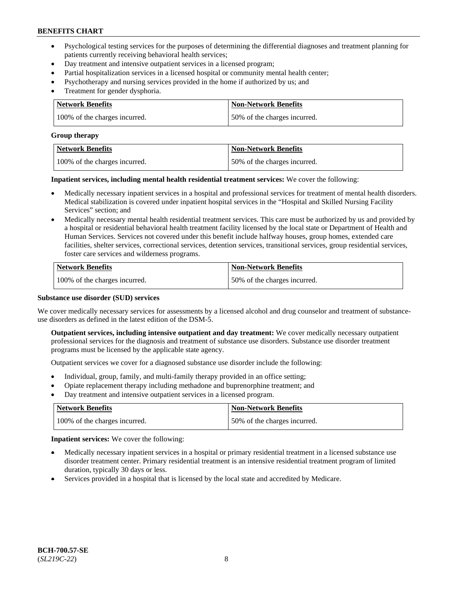- Psychological testing services for the purposes of determining the differential diagnoses and treatment planning for patients currently receiving behavioral health services;
- Day treatment and intensive outpatient services in a licensed program;
- Partial hospitalization services in a licensed hospital or community mental health center;
- Psychotherapy and nursing services provided in the home if authorized by us; and
- Treatment for gender dysphoria.

| Network Benefits              | <b>Non-Network Benefits</b>  |
|-------------------------------|------------------------------|
| 100% of the charges incurred. | 50% of the charges incurred. |

#### **Group therapy**

| Network Benefits              | <b>Non-Network Benefits</b>  |
|-------------------------------|------------------------------|
| 100% of the charges incurred. | 50% of the charges incurred. |

**Inpatient services, including mental health residential treatment services:** We cover the following:

- Medically necessary inpatient services in a hospital and professional services for treatment of mental health disorders. Medical stabilization is covered under inpatient hospital services in the "Hospital and Skilled Nursing Facility Services" section; and
- Medically necessary mental health residential treatment services. This care must be authorized by us and provided by a hospital or residential behavioral health treatment facility licensed by the local state or Department of Health and Human Services. Services not covered under this benefit include halfway houses, group homes, extended care facilities, shelter services, correctional services, detention services, transitional services, group residential services, foster care services and wilderness programs.

| <b>Network Benefits</b>       | <b>Non-Network Benefits</b>  |
|-------------------------------|------------------------------|
| 100% of the charges incurred. | 50% of the charges incurred. |

### **Substance use disorder (SUD) services**

We cover medically necessary services for assessments by a licensed alcohol and drug counselor and treatment of substanceuse disorders as defined in the latest edition of the DSM-5.

**Outpatient services, including intensive outpatient and day treatment:** We cover medically necessary outpatient professional services for the diagnosis and treatment of substance use disorders. Substance use disorder treatment programs must be licensed by the applicable state agency.

Outpatient services we cover for a diagnosed substance use disorder include the following:

- Individual, group, family, and multi-family therapy provided in an office setting;
- Opiate replacement therapy including methadone and buprenorphine treatment; and
- Day treatment and intensive outpatient services in a licensed program.

| Network Benefits              | <b>Non-Network Benefits</b>  |
|-------------------------------|------------------------------|
| 100% of the charges incurred. | 50% of the charges incurred. |

**Inpatient services:** We cover the following:

- Medically necessary inpatient services in a hospital or primary residential treatment in a licensed substance use disorder treatment center. Primary residential treatment is an intensive residential treatment program of limited duration, typically 30 days or less.
- Services provided in a hospital that is licensed by the local state and accredited by Medicare.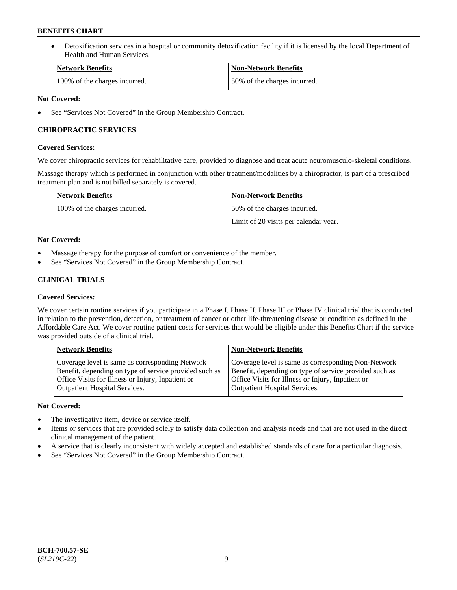• Detoxification services in a hospital or community detoxification facility if it is licensed by the local Department of Health and Human Services.

| Network Benefits              | <b>Non-Network Benefits</b>  |
|-------------------------------|------------------------------|
| 100% of the charges incurred. | 50% of the charges incurred. |

### **Not Covered:**

See "Services Not Covered" in the Group Membership Contract.

### **CHIROPRACTIC SERVICES**

### **Covered Services:**

We cover chiropractic services for rehabilitative care, provided to diagnose and treat acute neuromusculo-skeletal conditions.

Massage therapy which is performed in conjunction with other treatment/modalities by a chiropractor, is part of a prescribed treatment plan and is not billed separately is covered.

| <b>Network Benefits</b>       | <b>Non-Network Benefits</b>           |
|-------------------------------|---------------------------------------|
| 100% of the charges incurred. | 50% of the charges incurred.          |
|                               | Limit of 20 visits per calendar year. |

### **Not Covered:**

- Massage therapy for the purpose of comfort or convenience of the member.
- See "Services Not Covered" in the Group Membership Contract.

## **CLINICAL TRIALS**

### **Covered Services:**

We cover certain routine services if you participate in a Phase I, Phase II, Phase III or Phase IV clinical trial that is conducted in relation to the prevention, detection, or treatment of cancer or other life-threatening disease or condition as defined in the Affordable Care Act. We cover routine patient costs for services that would be eligible under this Benefits Chart if the service was provided outside of a clinical trial.

| <b>Network Benefits</b>                                                                                                                                                                                | <b>Non-Network Benefits</b>                                                                                                                                                                         |
|--------------------------------------------------------------------------------------------------------------------------------------------------------------------------------------------------------|-----------------------------------------------------------------------------------------------------------------------------------------------------------------------------------------------------|
| Coverage level is same as corresponding Network<br>Benefit, depending on type of service provided such as<br>Office Visits for Illness or Injury, Inpatient or<br><b>Outpatient Hospital Services.</b> | Coverage level is same as corresponding Non-Network<br>Benefit, depending on type of service provided such as<br>Office Visits for Illness or Injury, Inpatient or<br>Outpatient Hospital Services. |
|                                                                                                                                                                                                        |                                                                                                                                                                                                     |

### **Not Covered:**

- The investigative item, device or service itself.
- Items or services that are provided solely to satisfy data collection and analysis needs and that are not used in the direct clinical management of the patient.
- A service that is clearly inconsistent with widely accepted and established standards of care for a particular diagnosis.
- See "Services Not Covered" in the Group Membership Contract.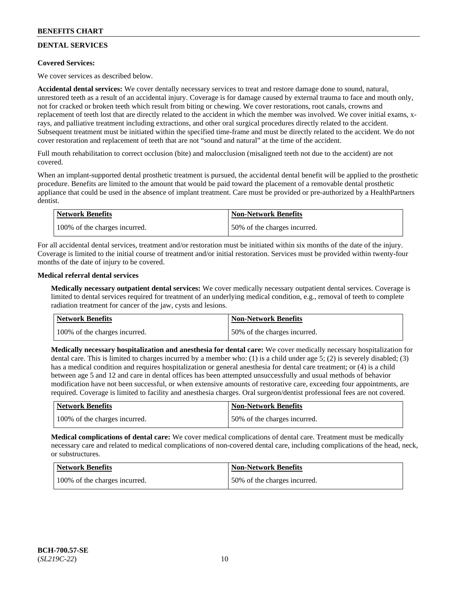## **DENTAL SERVICES**

### **Covered Services:**

We cover services as described below.

**Accidental dental services:** We cover dentally necessary services to treat and restore damage done to sound, natural, unrestored teeth as a result of an accidental injury. Coverage is for damage caused by external trauma to face and mouth only, not for cracked or broken teeth which result from biting or chewing. We cover restorations, root canals, crowns and replacement of teeth lost that are directly related to the accident in which the member was involved. We cover initial exams, xrays, and palliative treatment including extractions, and other oral surgical procedures directly related to the accident. Subsequent treatment must be initiated within the specified time-frame and must be directly related to the accident. We do not cover restoration and replacement of teeth that are not "sound and natural" at the time of the accident.

Full mouth rehabilitation to correct occlusion (bite) and malocclusion (misaligned teeth not due to the accident) are not covered.

When an implant-supported dental prosthetic treatment is pursued, the accidental dental benefit will be applied to the prosthetic procedure. Benefits are limited to the amount that would be paid toward the placement of a removable dental prosthetic appliance that could be used in the absence of implant treatment. Care must be provided or pre-authorized by a HealthPartners dentist.

| Network Benefits              | <b>Non-Network Benefits</b>  |
|-------------------------------|------------------------------|
| 100% of the charges incurred. | 50% of the charges incurred. |

For all accidental dental services, treatment and/or restoration must be initiated within six months of the date of the injury. Coverage is limited to the initial course of treatment and/or initial restoration. Services must be provided within twenty-four months of the date of injury to be covered.

### **Medical referral dental services**

**Medically necessary outpatient dental services:** We cover medically necessary outpatient dental services. Coverage is limited to dental services required for treatment of an underlying medical condition, e.g., removal of teeth to complete radiation treatment for cancer of the jaw, cysts and lesions.

| Network Benefits              | <b>Non-Network Benefits</b>  |
|-------------------------------|------------------------------|
| 100% of the charges incurred. | 50% of the charges incurred. |

**Medically necessary hospitalization and anesthesia for dental care:** We cover medically necessary hospitalization for dental care. This is limited to charges incurred by a member who: (1) is a child under age 5; (2) is severely disabled; (3) has a medical condition and requires hospitalization or general anesthesia for dental care treatment; or (4) is a child between age 5 and 12 and care in dental offices has been attempted unsuccessfully and usual methods of behavior modification have not been successful, or when extensive amounts of restorative care, exceeding four appointments, are required. Coverage is limited to facility and anesthesia charges. Oral surgeon/dentist professional fees are not covered.

| <b>Network Benefits</b>       | <b>Non-Network Benefits</b>  |
|-------------------------------|------------------------------|
| 100% of the charges incurred. | 50% of the charges incurred. |

**Medical complications of dental care:** We cover medical complications of dental care. Treatment must be medically necessary care and related to medical complications of non-covered dental care, including complications of the head, neck, or substructures.

| Network Benefits              | <b>Non-Network Benefits</b>  |
|-------------------------------|------------------------------|
| 100% of the charges incurred. | 50% of the charges incurred. |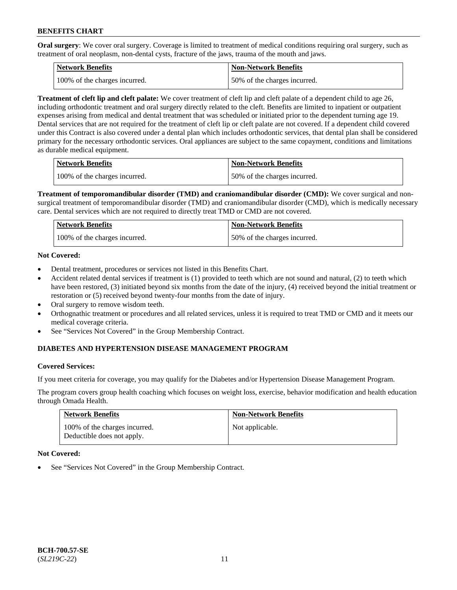**Oral surgery**: We cover oral surgery. Coverage is limited to treatment of medical conditions requiring oral surgery, such as treatment of oral neoplasm, non-dental cysts, fracture of the jaws, trauma of the mouth and jaws.

| Network Benefits              | <b>Non-Network Benefits</b>  |
|-------------------------------|------------------------------|
| 100% of the charges incurred. | 50% of the charges incurred. |

**Treatment of cleft lip and cleft palate:** We cover treatment of cleft lip and cleft palate of a dependent child to age 26, including orthodontic treatment and oral surgery directly related to the cleft. Benefits are limited to inpatient or outpatient expenses arising from medical and dental treatment that was scheduled or initiated prior to the dependent turning age 19. Dental services that are not required for the treatment of cleft lip or cleft palate are not covered. If a dependent child covered under this Contract is also covered under a dental plan which includes orthodontic services, that dental plan shall be considered primary for the necessary orthodontic services. Oral appliances are subject to the same copayment, conditions and limitations as durable medical equipment.

| <b>Network Benefits</b>       | <b>Non-Network Benefits</b>  |
|-------------------------------|------------------------------|
| 100% of the charges incurred. | 50% of the charges incurred. |

**Treatment of temporomandibular disorder (TMD) and craniomandibular disorder (CMD):** We cover surgical and nonsurgical treatment of temporomandibular disorder (TMD) and craniomandibular disorder (CMD), which is medically necessary care. Dental services which are not required to directly treat TMD or CMD are not covered.

| Network Benefits              | <b>Non-Network Benefits</b>  |
|-------------------------------|------------------------------|
| 100% of the charges incurred. | 50% of the charges incurred. |

### **Not Covered:**

- Dental treatment, procedures or services not listed in this Benefits Chart.
- Accident related dental services if treatment is (1) provided to teeth which are not sound and natural, (2) to teeth which have been restored, (3) initiated beyond six months from the date of the injury, (4) received beyond the initial treatment or restoration or (5) received beyond twenty-four months from the date of injury.
- Oral surgery to remove wisdom teeth.
- Orthognathic treatment or procedures and all related services, unless it is required to treat TMD or CMD and it meets our medical coverage criteria.
- See "Services Not Covered" in the Group Membership Contract.

### **DIABETES AND HYPERTENSION DISEASE MANAGEMENT PROGRAM**

#### **Covered Services:**

If you meet criteria for coverage, you may qualify for the Diabetes and/or Hypertension Disease Management Program.

The program covers group health coaching which focuses on weight loss, exercise, behavior modification and health education through Omada Health.

| <b>Network Benefits</b>                                     | <b>Non-Network Benefits</b> |
|-------------------------------------------------------------|-----------------------------|
| 100% of the charges incurred.<br>Deductible does not apply. | Not applicable.             |

#### **Not Covered:**

See "Services Not Covered" in the Group Membership Contract.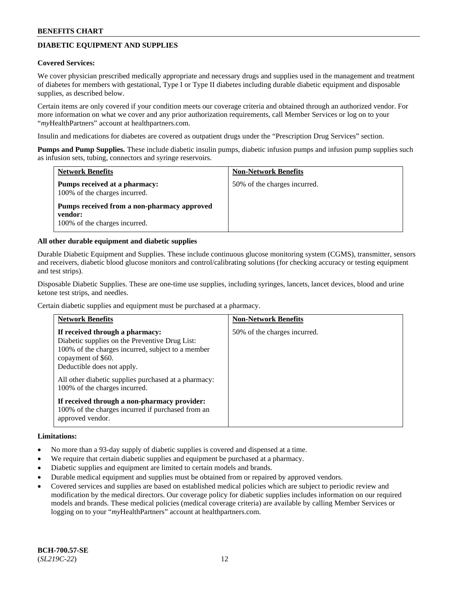## **DIABETIC EQUIPMENT AND SUPPLIES**

#### **Covered Services:**

We cover physician prescribed medically appropriate and necessary drugs and supplies used in the management and treatment of diabetes for members with gestational, Type I or Type II diabetes including durable diabetic equipment and disposable supplies, as described below.

Certain items are only covered if your condition meets our coverage criteria and obtained through an authorized vendor. For more information on what we cover and any prior authorization requirements, call Member Services or log on to your "*my*HealthPartners" account at [healthpartners.com.](http://www.healthpartners.com/)

Insulin and medications for diabetes are covered as outpatient drugs under the "Prescription Drug Services" section.

**Pumps and Pump Supplies.** These include diabetic insulin pumps, diabetic infusion pumps and infusion pump supplies such as infusion sets, tubing, connectors and syringe reservoirs.

| <b>Network Benefits</b>                                                                 | <b>Non-Network Benefits</b>  |
|-----------------------------------------------------------------------------------------|------------------------------|
| Pumps received at a pharmacy:<br>100% of the charges incurred.                          | 50% of the charges incurred. |
| Pumps received from a non-pharmacy approved<br>vendor:<br>100% of the charges incurred. |                              |

#### **All other durable equipment and diabetic supplies**

Durable Diabetic Equipment and Supplies. These include continuous glucose monitoring system (CGMS), transmitter, sensors and receivers, diabetic blood glucose monitors and control/calibrating solutions (for checking accuracy or testing equipment and test strips).

Disposable Diabetic Supplies. These are one-time use supplies, including syringes, lancets, lancet devices, blood and urine ketone test strips, and needles.

Certain diabetic supplies and equipment must be purchased at a pharmacy.

| <b>Network Benefits</b>                                                                                                                                                                    | <b>Non-Network Benefits</b>  |
|--------------------------------------------------------------------------------------------------------------------------------------------------------------------------------------------|------------------------------|
| If received through a pharmacy:<br>Diabetic supplies on the Preventive Drug List:<br>100% of the charges incurred, subject to a member<br>copayment of \$60.<br>Deductible does not apply. | 50% of the charges incurred. |
| All other diabetic supplies purchased at a pharmacy:<br>100% of the charges incurred.                                                                                                      |                              |
| If received through a non-pharmacy provider:<br>100% of the charges incurred if purchased from an<br>approved vendor.                                                                      |                              |

#### **Limitations:**

- No more than a 93-day supply of diabetic supplies is covered and dispensed at a time.
- We require that certain diabetic supplies and equipment be purchased at a pharmacy.
- Diabetic supplies and equipment are limited to certain models and brands.
- Durable medical equipment and supplies must be obtained from or repaired by approved vendors.
- Covered services and supplies are based on established medical policies which are subject to periodic review and modification by the medical directors. Our coverage policy for diabetic supplies includes information on our required models and brands. These medical policies (medical coverage criteria) are available by calling Member Services or logging on to your "*my*HealthPartners" account at [healthpartners.com.](http://www.healthpartners.com/)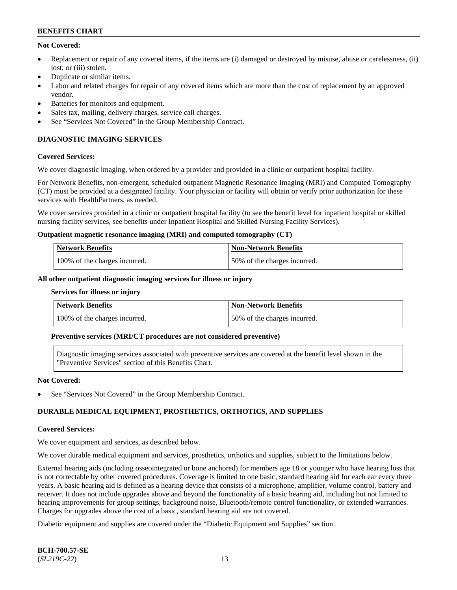### **Not Covered:**

- Replacement or repair of any covered items, if the items are (i) damaged or destroyed by misuse, abuse or carelessness, (ii) lost: or (iii) stolen.
- Duplicate or similar items.
- Labor and related charges for repair of any covered items which are more than the cost of replacement by an approved vendor.
- Batteries for monitors and equipment.
- Sales tax, mailing, delivery charges, service call charges.
- See "Services Not Covered" in the Group Membership Contract.

## **DIAGNOSTIC IMAGING SERVICES**

#### **Covered Services:**

We cover diagnostic imaging, when ordered by a provider and provided in a clinic or outpatient hospital facility.

For Network Benefits, non-emergent, scheduled outpatient Magnetic Resonance Imaging (MRI) and Computed Tomography (CT) must be provided at a designated facility. Your physician or facility will obtain or verify prior authorization for these services with HealthPartners, as needed.

We cover services provided in a clinic or outpatient hospital facility (to see the benefit level for inpatient hospital or skilled nursing facility services, see benefits under Inpatient Hospital and Skilled Nursing Facility Services).

#### **Outpatient magnetic resonance imaging (MRI) and computed tomography (CT)**

| Network Benefits              | <b>Non-Network Benefits</b>  |
|-------------------------------|------------------------------|
| 100% of the charges incurred. | 50% of the charges incurred. |

#### **All other outpatient diagnostic imaging services for illness or injury**

#### **Services for illness or injury**

| Network Benefits              | Non-Network Benefits         |
|-------------------------------|------------------------------|
| 100% of the charges incurred. | 50% of the charges incurred. |

#### **Preventive services (MRI/CT procedures are not considered preventive)**

Diagnostic imaging services associated with preventive services are covered at the benefit level shown in the "Preventive Services" section of this Benefits Chart.

#### **Not Covered:**

See "Services Not Covered" in the Group Membership Contract.

### **DURABLE MEDICAL EQUIPMENT, PROSTHETICS, ORTHOTICS, AND SUPPLIES**

#### **Covered Services:**

We cover equipment and services, as described below.

We cover durable medical equipment and services, prosthetics, orthotics and supplies, subject to the limitations below.

External hearing aids (including osseointegrated or bone anchored) for members age 18 or younger who have hearing loss that is not correctable by other covered procedures. Coverage is limited to one basic, standard hearing aid for each ear every three years. A basic hearing aid is defined as a hearing device that consists of a microphone, amplifier, volume control, battery and receiver. It does not include upgrades above and beyond the functionality of a basic hearing aid, including but not limited to hearing improvements for group settings, background noise, Bluetooth/remote control functionality, or extended warranties. Charges for upgrades above the cost of a basic, standard hearing aid are not covered.

Diabetic equipment and supplies are covered under the "Diabetic Equipment and Supplies" section.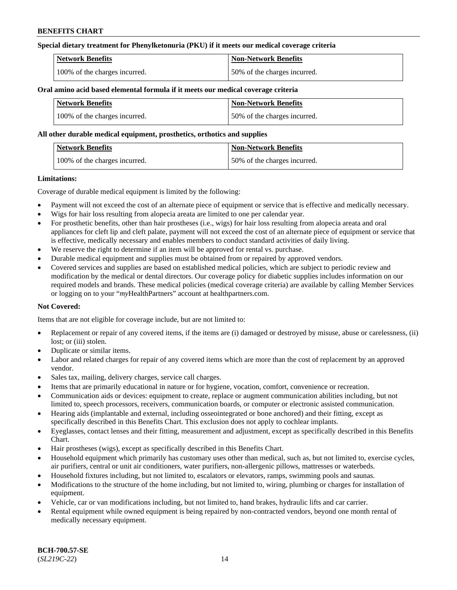### **Special dietary treatment for Phenylketonuria (PKU) if it meets our medical coverage criteria**

| <b>Network Benefits</b>       | <b>Non-Network Benefits</b>  |
|-------------------------------|------------------------------|
| 100% of the charges incurred. | 50% of the charges incurred. |

#### **Oral amino acid based elemental formula if it meets our medical coverage criteria**

| <b>Network Benefits</b>       | <b>Non-Network Benefits</b>  |
|-------------------------------|------------------------------|
| 100% of the charges incurred. | 50% of the charges incurred. |

#### **All other durable medical equipment, prosthetics, orthotics and supplies**

| <b>Network Benefits</b>       | Non-Network Benefits         |
|-------------------------------|------------------------------|
| 100% of the charges incurred. | 50% of the charges incurred. |

#### **Limitations:**

Coverage of durable medical equipment is limited by the following:

- Payment will not exceed the cost of an alternate piece of equipment or service that is effective and medically necessary.
- Wigs for hair loss resulting from alopecia areata are limited to one per calendar year.
- For prosthetic benefits, other than hair prostheses (i.e., wigs) for hair loss resulting from alopecia areata and oral appliances for cleft lip and cleft palate, payment will not exceed the cost of an alternate piece of equipment or service that is effective, medically necessary and enables members to conduct standard activities of daily living.
- We reserve the right to determine if an item will be approved for rental vs. purchase.
- Durable medical equipment and supplies must be obtained from or repaired by approved vendors.
- Covered services and supplies are based on established medical policies, which are subject to periodic review and modification by the medical or dental directors. Our coverage policy for diabetic supplies includes information on our required models and brands. These medical policies (medical coverage criteria) are available by calling Member Services or logging on to your "*my*HealthPartners" account a[t healthpartners.com.](https://www.healthpartners.com/hp/index.html)

### **Not Covered:**

Items that are not eligible for coverage include, but are not limited to:

- Replacement or repair of any covered items, if the items are (i) damaged or destroyed by misuse, abuse or carelessness, (ii) lost; or (iii) stolen.
- Duplicate or similar items.
- Labor and related charges for repair of any covered items which are more than the cost of replacement by an approved vendor.
- Sales tax, mailing, delivery charges, service call charges.
- Items that are primarily educational in nature or for hygiene, vocation, comfort, convenience or recreation.
- Communication aids or devices: equipment to create, replace or augment communication abilities including, but not limited to, speech processors, receivers, communication boards, or computer or electronic assisted communication.
- Hearing aids (implantable and external, including osseointegrated or bone anchored) and their fitting, except as specifically described in this Benefits Chart. This exclusion does not apply to cochlear implants.
- Eyeglasses, contact lenses and their fitting, measurement and adjustment, except as specifically described in this Benefits Chart.
- Hair prostheses (wigs), except as specifically described in this Benefits Chart.
- Household equipment which primarily has customary uses other than medical, such as, but not limited to, exercise cycles, air purifiers, central or unit air conditioners, water purifiers, non-allergenic pillows, mattresses or waterbeds.
- Household fixtures including, but not limited to, escalators or elevators, ramps, swimming pools and saunas.
- Modifications to the structure of the home including, but not limited to, wiring, plumbing or charges for installation of equipment.
- Vehicle, car or van modifications including, but not limited to, hand brakes, hydraulic lifts and car carrier.
- Rental equipment while owned equipment is being repaired by non-contracted vendors, beyond one month rental of medically necessary equipment.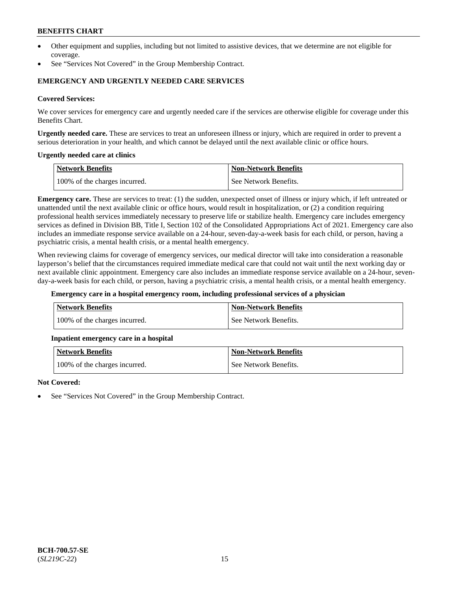- Other equipment and supplies, including but not limited to assistive devices, that we determine are not eligible for coverage.
- See "Services Not Covered" in the Group Membership Contract.

### **EMERGENCY AND URGENTLY NEEDED CARE SERVICES**

#### **Covered Services:**

We cover services for emergency care and urgently needed care if the services are otherwise eligible for coverage under this Benefits Chart.

**Urgently needed care.** These are services to treat an unforeseen illness or injury, which are required in order to prevent a serious deterioration in your health, and which cannot be delayed until the next available clinic or office hours.

#### **Urgently needed care at clinics**

| Network Benefits              | <b>Non-Network Benefits</b> |
|-------------------------------|-----------------------------|
| 100% of the charges incurred. | See Network Benefits.       |

**Emergency care.** These are services to treat: (1) the sudden, unexpected onset of illness or injury which, if left untreated or unattended until the next available clinic or office hours, would result in hospitalization, or (2) a condition requiring professional health services immediately necessary to preserve life or stabilize health. Emergency care includes emergency services as defined in Division BB, Title I, Section 102 of the Consolidated Appropriations Act of 2021. Emergency care also includes an immediate response service available on a 24-hour, seven-day-a-week basis for each child, or person, having a psychiatric crisis, a mental health crisis, or a mental health emergency.

When reviewing claims for coverage of emergency services, our medical director will take into consideration a reasonable layperson's belief that the circumstances required immediate medical care that could not wait until the next working day or next available clinic appointment. Emergency care also includes an immediate response service available on a 24-hour, sevenday-a-week basis for each child, or person, having a psychiatric crisis, a mental health crisis, or a mental health emergency.

#### **Emergency care in a hospital emergency room, including professional services of a physician**

| <b>Network Benefits</b>       | <b>Non-Network Benefits</b> |
|-------------------------------|-----------------------------|
| 100% of the charges incurred. | See Network Benefits.       |

#### **Inpatient emergency care in a hospital**

| <b>Network Benefits</b>       | <b>Non-Network Benefits</b> |
|-------------------------------|-----------------------------|
| 100% of the charges incurred. | See Network Benefits.       |

#### **Not Covered:**

See "Services Not Covered" in the Group Membership Contract.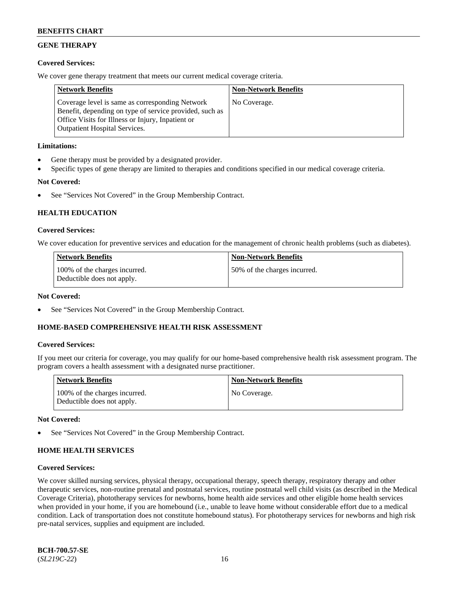## **GENE THERAPY**

### **Covered Services:**

We cover gene therapy treatment that meets our current medical coverage criteria.

| <b>Network Benefits</b>                                                                                                                                                                                 | <b>Non-Network Benefits</b> |
|---------------------------------------------------------------------------------------------------------------------------------------------------------------------------------------------------------|-----------------------------|
| Coverage level is same as corresponding Network<br>Benefit, depending on type of service provided, such as<br>Office Visits for Illness or Injury, Inpatient or<br><b>Outpatient Hospital Services.</b> | No Coverage.                |

### **Limitations:**

- Gene therapy must be provided by a designated provider.
- Specific types of gene therapy are limited to therapies and conditions specified in our medical coverage criteria.

### **Not Covered:**

See "Services Not Covered" in the Group Membership Contract.

## **HEALTH EDUCATION**

#### **Covered Services:**

We cover education for preventive services and education for the management of chronic health problems (such as diabetes).

| <b>Network Benefits</b>                                     | <b>Non-Network Benefits</b>  |
|-------------------------------------------------------------|------------------------------|
| 100% of the charges incurred.<br>Deductible does not apply. | 50% of the charges incurred. |

#### **Not Covered:**

See "Services Not Covered" in the Group Membership Contract.

### **HOME-BASED COMPREHENSIVE HEALTH RISK ASSESSMENT**

#### **Covered Services:**

If you meet our criteria for coverage, you may qualify for our home-based comprehensive health risk assessment program. The program covers a health assessment with a designated nurse practitioner.

| <b>Network Benefits</b>                                     | <b>Non-Network Benefits</b> |
|-------------------------------------------------------------|-----------------------------|
| 100% of the charges incurred.<br>Deductible does not apply. | No Coverage.                |

#### **Not Covered:**

See "Services Not Covered" in the Group Membership Contract.

## **HOME HEALTH SERVICES**

#### **Covered Services:**

We cover skilled nursing services, physical therapy, occupational therapy, speech therapy, respiratory therapy and other therapeutic services, non-routine prenatal and postnatal services, routine postnatal well child visits (as described in the Medical Coverage Criteria), phototherapy services for newborns, home health aide services and other eligible home health services when provided in your home, if you are homebound (i.e., unable to leave home without considerable effort due to a medical condition. Lack of transportation does not constitute homebound status). For phototherapy services for newborns and high risk pre-natal services, supplies and equipment are included.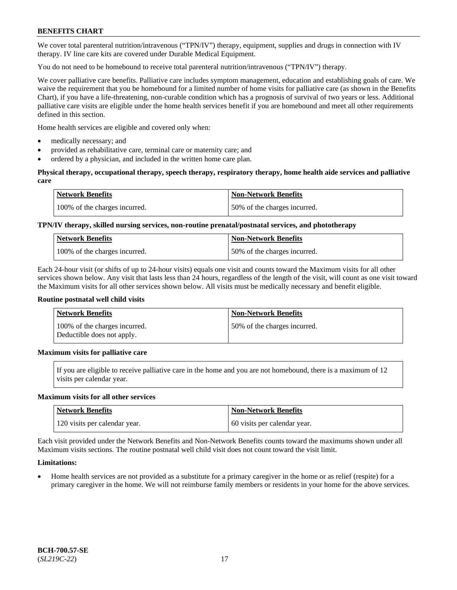We cover total parenteral nutrition/intravenous ("TPN/IV") therapy, equipment, supplies and drugs in connection with IV therapy. IV line care kits are covered under Durable Medical Equipment.

You do not need to be homebound to receive total parenteral nutrition/intravenous ("TPN/IV") therapy.

We cover palliative care benefits. Palliative care includes symptom management, education and establishing goals of care. We waive the requirement that you be homebound for a limited number of home visits for palliative care (as shown in the Benefits Chart), if you have a life-threatening, non-curable condition which has a prognosis of survival of two years or less. Additional palliative care visits are eligible under the home health services benefit if you are homebound and meet all other requirements defined in this section.

Home health services are eligible and covered only when:

- medically necessary; and
- provided as rehabilitative care, terminal care or maternity care; and
- ordered by a physician, and included in the written home care plan.

### **Physical therapy, occupational therapy, speech therapy, respiratory therapy, home health aide services and palliative care**

| <b>Network Benefits</b>       | <b>Non-Network Benefits</b>  |
|-------------------------------|------------------------------|
| 100% of the charges incurred. | 50% of the charges incurred. |

## **TPN/IV therapy, skilled nursing services, non-routine prenatal/postnatal services, and phototherapy**

| <b>Network Benefits</b>       | <b>Non-Network Benefits</b>  |
|-------------------------------|------------------------------|
| 100% of the charges incurred. | 50% of the charges incurred. |

Each 24-hour visit (or shifts of up to 24-hour visits) equals one visit and counts toward the Maximum visits for all other services shown below. Any visit that lasts less than 24 hours, regardless of the length of the visit, will count as one visit toward the Maximum visits for all other services shown below. All visits must be medically necessary and benefit eligible.

#### **Routine postnatal well child visits**

| <b>Network Benefits</b>                                     | <b>Non-Network Benefits</b>  |
|-------------------------------------------------------------|------------------------------|
| 100% of the charges incurred.<br>Deductible does not apply. | 50% of the charges incurred. |

### **Maximum visits for palliative care**

If you are eligible to receive palliative care in the home and you are not homebound, there is a maximum of 12 visits per calendar year.

#### **Maximum visits for all other services**

| Network Benefits              | <b>Non-Network Benefits</b>  |
|-------------------------------|------------------------------|
| 120 visits per calendar year. | 60 visits per calendar year. |

Each visit provided under the Network Benefits and Non-Network Benefits counts toward the maximums shown under all Maximum visits sections. The routine postnatal well child visit does not count toward the visit limit.

### **Limitations:**

• Home health services are not provided as a substitute for a primary caregiver in the home or as relief (respite) for a primary caregiver in the home. We will not reimburse family members or residents in your home for the above services.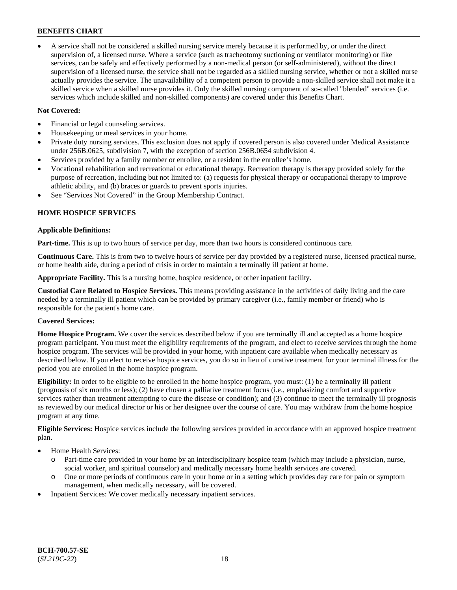• A service shall not be considered a skilled nursing service merely because it is performed by, or under the direct supervision of, a licensed nurse. Where a service (such as tracheotomy suctioning or ventilator monitoring) or like services, can be safely and effectively performed by a non-medical person (or self-administered), without the direct supervision of a licensed nurse, the service shall not be regarded as a skilled nursing service, whether or not a skilled nurse actually provides the service. The unavailability of a competent person to provide a non-skilled service shall not make it a skilled service when a skilled nurse provides it. Only the skilled nursing component of so-called "blended" services (i.e. services which include skilled and non-skilled components) are covered under this Benefits Chart.

### **Not Covered:**

- Financial or legal counseling services.
- Housekeeping or meal services in your home.
- Private duty nursing services. This exclusion does not apply if covered person is also covered under Medical Assistance under 256B.0625, subdivision 7, with the exception of section 256B.0654 subdivision 4.
- Services provided by a family member or enrollee, or a resident in the enrollee's home.
- Vocational rehabilitation and recreational or educational therapy. Recreation therapy is therapy provided solely for the purpose of recreation, including but not limited to: (a) requests for physical therapy or occupational therapy to improve athletic ability, and (b) braces or guards to prevent sports injuries.
- See "Services Not Covered" in the Group Membership Contract.

### **HOME HOSPICE SERVICES**

#### **Applicable Definitions:**

**Part-time.** This is up to two hours of service per day, more than two hours is considered continuous care.

**Continuous Care.** This is from two to twelve hours of service per day provided by a registered nurse, licensed practical nurse, or home health aide, during a period of crisis in order to maintain a terminally ill patient at home.

**Appropriate Facility.** This is a nursing home, hospice residence, or other inpatient facility.

**Custodial Care Related to Hospice Services.** This means providing assistance in the activities of daily living and the care needed by a terminally ill patient which can be provided by primary caregiver (i.e., family member or friend) who is responsible for the patient's home care.

### **Covered Services:**

**Home Hospice Program.** We cover the services described below if you are terminally ill and accepted as a home hospice program participant. You must meet the eligibility requirements of the program, and elect to receive services through the home hospice program. The services will be provided in your home, with inpatient care available when medically necessary as described below. If you elect to receive hospice services, you do so in lieu of curative treatment for your terminal illness for the period you are enrolled in the home hospice program.

**Eligibility:** In order to be eligible to be enrolled in the home hospice program, you must: (1) be a terminally ill patient (prognosis of six months or less); (2) have chosen a palliative treatment focus (i.e., emphasizing comfort and supportive services rather than treatment attempting to cure the disease or condition); and (3) continue to meet the terminally ill prognosis as reviewed by our medical director or his or her designee over the course of care. You may withdraw from the home hospice program at any time.

**Eligible Services:** Hospice services include the following services provided in accordance with an approved hospice treatment plan.

- Home Health Services:
	- o Part-time care provided in your home by an interdisciplinary hospice team (which may include a physician, nurse, social worker, and spiritual counselor) and medically necessary home health services are covered.
	- o One or more periods of continuous care in your home or in a setting which provides day care for pain or symptom management, when medically necessary, will be covered.
- Inpatient Services: We cover medically necessary inpatient services.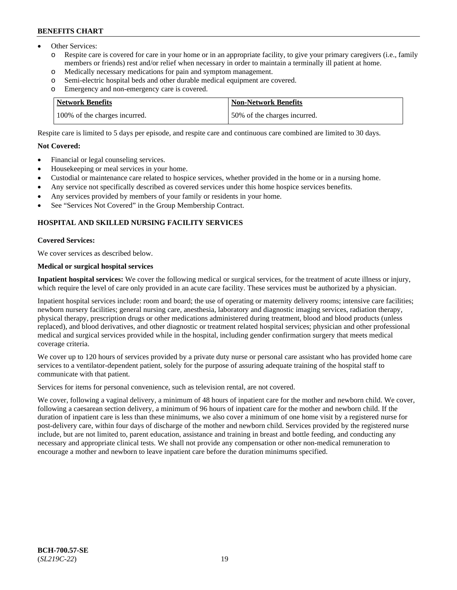- Other Services:
	- Respite care is covered for care in your home or in an appropriate facility, to give your primary caregivers (i.e., family members or friends) rest and/or relief when necessary in order to maintain a terminally ill patient at home.
	- o Medically necessary medications for pain and symptom management.
	- o Semi-electric hospital beds and other durable medical equipment are covered.
	- Emergency and non-emergency care is covered.

| Network Benefits              | <b>Non-Network Benefits</b>  |
|-------------------------------|------------------------------|
| 100% of the charges incurred. | 50% of the charges incurred. |

Respite care is limited to 5 days per episode, and respite care and continuous care combined are limited to 30 days.

#### **Not Covered:**

- Financial or legal counseling services.
- Housekeeping or meal services in your home.
- Custodial or maintenance care related to hospice services, whether provided in the home or in a nursing home.
- Any service not specifically described as covered services under this home hospice services benefits.
- Any services provided by members of your family or residents in your home.
- See "Services Not Covered" in the Group Membership Contract.

### **HOSPITAL AND SKILLED NURSING FACILITY SERVICES**

#### **Covered Services:**

We cover services as described below.

## **Medical or surgical hospital services**

**Inpatient hospital services:** We cover the following medical or surgical services, for the treatment of acute illness or injury, which require the level of care only provided in an acute care facility. These services must be authorized by a physician.

Inpatient hospital services include: room and board; the use of operating or maternity delivery rooms; intensive care facilities; newborn nursery facilities; general nursing care, anesthesia, laboratory and diagnostic imaging services, radiation therapy, physical therapy, prescription drugs or other medications administered during treatment, blood and blood products (unless replaced), and blood derivatives, and other diagnostic or treatment related hospital services; physician and other professional medical and surgical services provided while in the hospital, including gender confirmation surgery that meets medical coverage criteria.

We cover up to 120 hours of services provided by a private duty nurse or personal care assistant who has provided home care services to a ventilator-dependent patient, solely for the purpose of assuring adequate training of the hospital staff to communicate with that patient.

Services for items for personal convenience, such as television rental, are not covered.

We cover, following a vaginal delivery, a minimum of 48 hours of inpatient care for the mother and newborn child. We cover, following a caesarean section delivery, a minimum of 96 hours of inpatient care for the mother and newborn child. If the duration of inpatient care is less than these minimums, we also cover a minimum of one home visit by a registered nurse for post-delivery care, within four days of discharge of the mother and newborn child. Services provided by the registered nurse include, but are not limited to, parent education, assistance and training in breast and bottle feeding, and conducting any necessary and appropriate clinical tests. We shall not provide any compensation or other non-medical remuneration to encourage a mother and newborn to leave inpatient care before the duration minimums specified.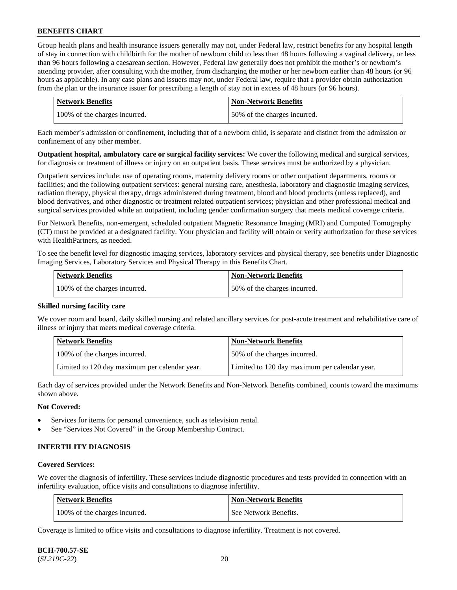Group health plans and health insurance issuers generally may not, under Federal law, restrict benefits for any hospital length of stay in connection with childbirth for the mother of newborn child to less than 48 hours following a vaginal delivery, or less than 96 hours following a caesarean section. However, Federal law generally does not prohibit the mother's or newborn's attending provider, after consulting with the mother, from discharging the mother or her newborn earlier than 48 hours (or 96 hours as applicable). In any case plans and issuers may not, under Federal law, require that a provider obtain authorization from the plan or the insurance issuer for prescribing a length of stay not in excess of 48 hours (or 96 hours).

| <b>Network Benefits</b>       | <b>Non-Network Benefits</b>  |
|-------------------------------|------------------------------|
| 100% of the charges incurred. | 50% of the charges incurred. |

Each member's admission or confinement, including that of a newborn child, is separate and distinct from the admission or confinement of any other member.

**Outpatient hospital, ambulatory care or surgical facility services:** We cover the following medical and surgical services, for diagnosis or treatment of illness or injury on an outpatient basis. These services must be authorized by a physician.

Outpatient services include: use of operating rooms, maternity delivery rooms or other outpatient departments, rooms or facilities; and the following outpatient services: general nursing care, anesthesia, laboratory and diagnostic imaging services, radiation therapy, physical therapy, drugs administered during treatment, blood and blood products (unless replaced), and blood derivatives, and other diagnostic or treatment related outpatient services; physician and other professional medical and surgical services provided while an outpatient, including gender confirmation surgery that meets medical coverage criteria.

For Network Benefits, non-emergent, scheduled outpatient Magnetic Resonance Imaging (MRI) and Computed Tomography (CT) must be provided at a designated facility. Your physician and facility will obtain or verify authorization for these services with HealthPartners, as needed.

To see the benefit level for diagnostic imaging services, laboratory services and physical therapy, see benefits under Diagnostic Imaging Services, Laboratory Services and Physical Therapy in this Benefits Chart.

| <b>Network Benefits</b>       | <b>Non-Network Benefits</b>   |
|-------------------------------|-------------------------------|
| 100% of the charges incurred. | 150% of the charges incurred. |

### **Skilled nursing facility care**

We cover room and board, daily skilled nursing and related ancillary services for post-acute treatment and rehabilitative care of illness or injury that meets medical coverage criteria.

| Network Benefits                              | <b>Non-Network Benefits</b>                   |
|-----------------------------------------------|-----------------------------------------------|
| 100\% of the charges incurred.                | 50% of the charges incurred.                  |
| Limited to 120 day maximum per calendar year. | Limited to 120 day maximum per calendar year. |

Each day of services provided under the Network Benefits and Non-Network Benefits combined, counts toward the maximums shown above.

#### **Not Covered:**

- Services for items for personal convenience, such as television rental.
- See "Services Not Covered" in the Group Membership Contract.

### **INFERTILITY DIAGNOSIS**

#### **Covered Services:**

We cover the diagnosis of infertility. These services include diagnostic procedures and tests provided in connection with an infertility evaluation, office visits and consultations to diagnose infertility.

| Network Benefits              | <b>Non-Network Benefits</b> |
|-------------------------------|-----------------------------|
| 100% of the charges incurred. | See Network Benefits.       |

Coverage is limited to office visits and consultations to diagnose infertility. Treatment is not covered.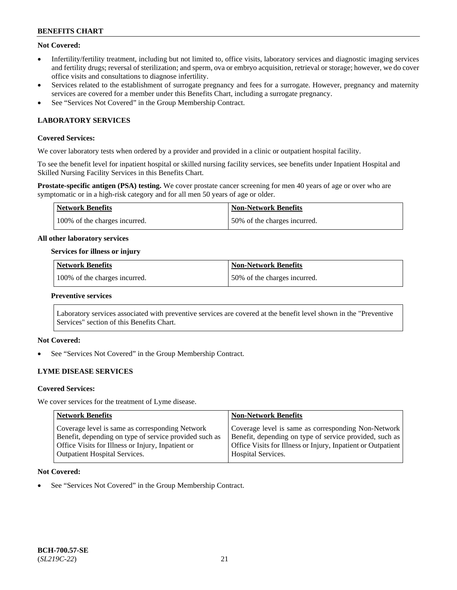### **Not Covered:**

- Infertility/fertility treatment, including but not limited to, office visits, laboratory services and diagnostic imaging services and fertility drugs; reversal of sterilization; and sperm, ova or embryo acquisition, retrieval or storage; however, we do cover office visits and consultations to diagnose infertility.
- Services related to the establishment of surrogate pregnancy and fees for a surrogate. However, pregnancy and maternity services are covered for a member under this Benefits Chart, including a surrogate pregnancy.
- See "Services Not Covered" in the Group Membership Contract.

## **LABORATORY SERVICES**

### **Covered Services:**

We cover laboratory tests when ordered by a provider and provided in a clinic or outpatient hospital facility.

To see the benefit level for inpatient hospital or skilled nursing facility services, see benefits under Inpatient Hospital and Skilled Nursing Facility Services in this Benefits Chart.

**Prostate-specific antigen (PSA) testing.** We cover prostate cancer screening for men 40 years of age or over who are symptomatic or in a high-risk category and for all men 50 years of age or older.

| Network Benefits              | Non-Network Benefits         |
|-------------------------------|------------------------------|
| 100% of the charges incurred. | 50% of the charges incurred. |

#### **All other laboratory services**

#### **Services for illness or injury**

| Network Benefits              | <b>Non-Network Benefits</b>  |
|-------------------------------|------------------------------|
| 100% of the charges incurred. | 50% of the charges incurred. |

#### **Preventive services**

Laboratory services associated with preventive services are covered at the benefit level shown in the "Preventive Services" section of this Benefits Chart.

### **Not Covered:**

See "Services Not Covered" in the Group Membership Contract.

### **LYME DISEASE SERVICES**

#### **Covered Services:**

We cover services for the treatment of Lyme disease.

| <b>Network Benefits</b>                                | <b>Non-Network Benefits</b>                                  |
|--------------------------------------------------------|--------------------------------------------------------------|
| Coverage level is same as corresponding Network        | Coverage level is same as corresponding Non-Network          |
| Benefit, depending on type of service provided such as | Benefit, depending on type of service provided, such as      |
| Office Visits for Illness or Injury, Inpatient or      | Office Visits for Illness or Injury, Inpatient or Outpatient |
| <b>Outpatient Hospital Services.</b>                   | <b>Hospital Services.</b>                                    |

#### **Not Covered:**

See "Services Not Covered" in the Group Membership Contract.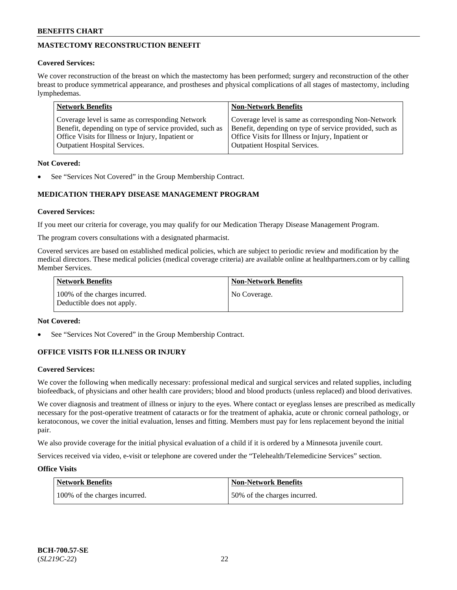## **MASTECTOMY RECONSTRUCTION BENEFIT**

### **Covered Services:**

We cover reconstruction of the breast on which the mastectomy has been performed; surgery and reconstruction of the other breast to produce symmetrical appearance, and prostheses and physical complications of all stages of mastectomy, including lymphedemas.

| <b>Network Benefits</b>                                 | <b>Non-Network Benefits</b>                             |
|---------------------------------------------------------|---------------------------------------------------------|
| Coverage level is same as corresponding Network         | Coverage level is same as corresponding Non-Network     |
| Benefit, depending on type of service provided, such as | Benefit, depending on type of service provided, such as |
| Office Visits for Illness or Injury, Inpatient or       | Office Visits for Illness or Injury, Inpatient or       |
| <b>Outpatient Hospital Services.</b>                    | <b>Outpatient Hospital Services.</b>                    |

### **Not Covered:**

See "Services Not Covered" in the Group Membership Contract.

## **MEDICATION THERAPY DISEASE MANAGEMENT PROGRAM**

### **Covered Services:**

If you meet our criteria for coverage, you may qualify for our Medication Therapy Disease Management Program.

The program covers consultations with a designated pharmacist.

Covered services are based on established medical policies, which are subject to periodic review and modification by the medical directors. These medical policies (medical coverage criteria) are available online at [healthpartners.com](https://www.healthpartners.com/hp/index.html) or by calling Member Services.

| Network Benefits                                            | <b>Non-Network Benefits</b> |
|-------------------------------------------------------------|-----------------------------|
| 100% of the charges incurred.<br>Deductible does not apply. | No Coverage.                |

### **Not Covered:**

See "Services Not Covered" in the Group Membership Contract.

## **OFFICE VISITS FOR ILLNESS OR INJURY**

### **Covered Services:**

We cover the following when medically necessary: professional medical and surgical services and related supplies, including biofeedback, of physicians and other health care providers; blood and blood products (unless replaced) and blood derivatives.

We cover diagnosis and treatment of illness or injury to the eyes. Where contact or eyeglass lenses are prescribed as medically necessary for the post-operative treatment of cataracts or for the treatment of aphakia, acute or chronic corneal pathology, or keratoconous, we cover the initial evaluation, lenses and fitting. Members must pay for lens replacement beyond the initial pair.

We also provide coverage for the initial physical evaluation of a child if it is ordered by a Minnesota juvenile court.

Services received via video, e-visit or telephone are covered under the "Telehealth/Telemedicine Services" section.

### **Office Visits**

| <b>Network Benefits</b>       | <b>Non-Network Benefits</b>  |
|-------------------------------|------------------------------|
| 100% of the charges incurred. | 50% of the charges incurred. |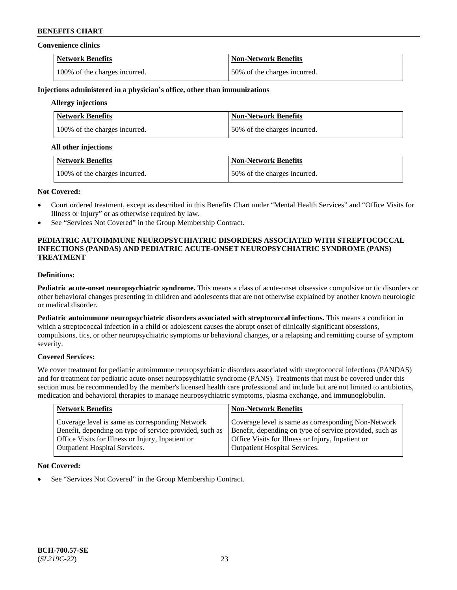#### **Convenience clinics**

| <b>Network Benefits</b>       | <b>Non-Network Benefits</b>  |
|-------------------------------|------------------------------|
| 100% of the charges incurred. | 50% of the charges incurred. |

#### **Injections administered in a physician's office, other than immunizations**

## **Allergy injections**

| Network Benefits              | <b>Non-Network Benefits</b>  |
|-------------------------------|------------------------------|
| 100% of the charges incurred. | 50% of the charges incurred. |

#### **All other injections**

| Network Benefits              | Non-Network Benefits          |
|-------------------------------|-------------------------------|
| 100% of the charges incurred. | 150% of the charges incurred. |

#### **Not Covered:**

- Court ordered treatment, except as described in this Benefits Chart under "Mental Health Services" and "Office Visits for Illness or Injury" or as otherwise required by law.
- See "Services Not Covered" in the Group Membership Contract.

### **PEDIATRIC AUTOIMMUNE NEUROPSYCHIATRIC DISORDERS ASSOCIATED WITH STREPTOCOCCAL INFECTIONS (PANDAS) AND PEDIATRIC ACUTE-ONSET NEUROPSYCHIATRIC SYNDROME (PANS) TREATMENT**

## **Definitions:**

**Pediatric acute-onset neuropsychiatric syndrome.** This means a class of acute-onset obsessive compulsive or tic disorders or other behavioral changes presenting in children and adolescents that are not otherwise explained by another known neurologic or medical disorder.

**Pediatric autoimmune neuropsychiatric disorders associated with streptococcal infections.** This means a condition in which a streptococcal infection in a child or adolescent causes the abrupt onset of clinically significant obsessions, compulsions, tics, or other neuropsychiatric symptoms or behavioral changes, or a relapsing and remitting course of symptom severity.

### **Covered Services:**

We cover treatment for pediatric autoimmune neuropsychiatric disorders associated with streptococcal infections (PANDAS) and for treatment for pediatric acute-onset neuropsychiatric syndrome (PANS). Treatments that must be covered under this section must be recommended by the member's licensed health care professional and include but are not limited to antibiotics, medication and behavioral therapies to manage neuropsychiatric symptoms, plasma exchange, and immunoglobulin.

| <b>Network Benefits</b>                                 | <b>Non-Network Benefits</b>                             |
|---------------------------------------------------------|---------------------------------------------------------|
| Coverage level is same as corresponding Network         | Coverage level is same as corresponding Non-Network     |
| Benefit, depending on type of service provided, such as | Benefit, depending on type of service provided, such as |
| Office Visits for Illness or Injury, Inpatient or       | Office Visits for Illness or Injury, Inpatient or       |
| <b>Outpatient Hospital Services.</b>                    | Outpatient Hospital Services.                           |

### **Not Covered:**

See "Services Not Covered" in the Group Membership Contract.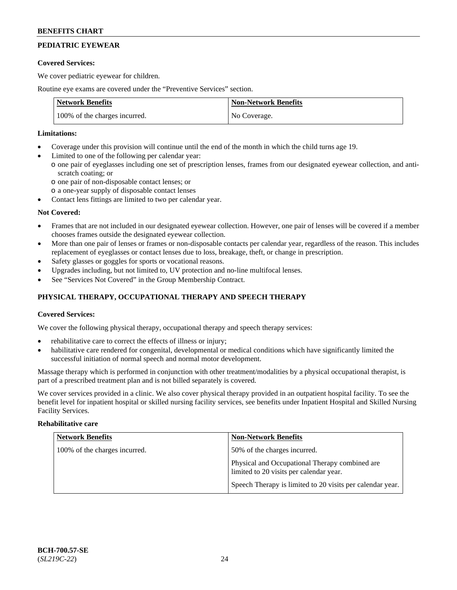## **PEDIATRIC EYEWEAR**

### **Covered Services:**

We cover pediatric eyewear for children.

Routine eye exams are covered under the "Preventive Services" section.

| <b>Network Benefits</b>       | <b>Non-Network Benefits</b> |
|-------------------------------|-----------------------------|
| 100% of the charges incurred. | No Coverage.                |

### **Limitations:**

- Coverage under this provision will continue until the end of the month in which the child turns age 19.
- Limited to one of the following per calendar year:
	- o one pair of eyeglasses including one set of prescription lenses, frames from our designated eyewear collection, and antiscratch coating; or
		- o one pair of non-disposable contact lenses; or
		- o a one-year supply of disposable contact lenses
- Contact lens fittings are limited to two per calendar year.

## **Not Covered:**

- Frames that are not included in our designated eyewear collection. However, one pair of lenses will be covered if a member chooses frames outside the designated eyewear collection.
- More than one pair of lenses or frames or non-disposable contacts per calendar year, regardless of the reason. This includes replacement of eyeglasses or contact lenses due to loss, breakage, theft, or change in prescription.
- Safety glasses or goggles for sports or vocational reasons.
- Upgrades including, but not limited to, UV protection and no-line multifocal lenses.
- See "Services Not Covered" in the Group Membership Contract.

## **PHYSICAL THERAPY, OCCUPATIONAL THERAPY AND SPEECH THERAPY**

### **Covered Services:**

We cover the following physical therapy, occupational therapy and speech therapy services:

- rehabilitative care to correct the effects of illness or injury;
- habilitative care rendered for congenital, developmental or medical conditions which have significantly limited the successful initiation of normal speech and normal motor development.

Massage therapy which is performed in conjunction with other treatment/modalities by a physical occupational therapist, is part of a prescribed treatment plan and is not billed separately is covered.

We cover services provided in a clinic. We also cover physical therapy provided in an outpatient hospital facility. To see the benefit level for inpatient hospital or skilled nursing facility services, see benefits under Inpatient Hospital and Skilled Nursing Facility Services.

### **Rehabilitative care**

| <b>Network Benefits</b>       | <b>Non-Network Benefits</b>                                                               |
|-------------------------------|-------------------------------------------------------------------------------------------|
| 100% of the charges incurred. | 50% of the charges incurred.                                                              |
|                               | Physical and Occupational Therapy combined are<br>limited to 20 visits per calendar year. |
|                               | Speech Therapy is limited to 20 visits per calendar year.                                 |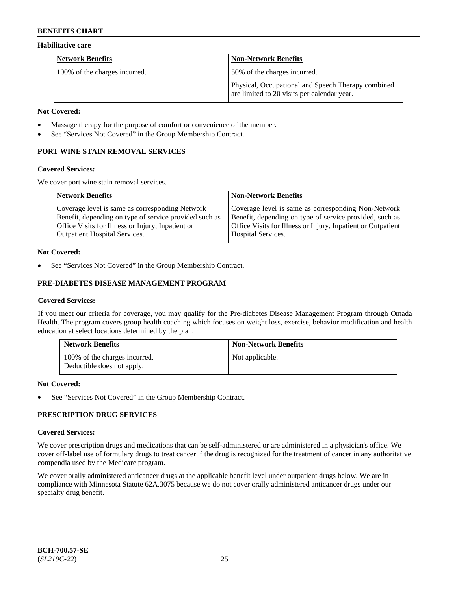### **Habilitative care**

| <b>Network Benefits</b>       | <b>Non-Network Benefits</b>                                                                       |
|-------------------------------|---------------------------------------------------------------------------------------------------|
| 100% of the charges incurred. | 50% of the charges incurred.                                                                      |
|                               | Physical, Occupational and Speech Therapy combined<br>are limited to 20 visits per calendar year. |

#### **Not Covered:**

- Massage therapy for the purpose of comfort or convenience of the member.
- See "Services Not Covered" in the Group Membership Contract.

## **PORT WINE STAIN REMOVAL SERVICES**

#### **Covered Services:**

We cover port wine stain removal services.

| <b>Network Benefits</b>                                | <b>Non-Network Benefits</b>                                  |
|--------------------------------------------------------|--------------------------------------------------------------|
| Coverage level is same as corresponding Network        | Coverage level is same as corresponding Non-Network          |
| Benefit, depending on type of service provided such as | Benefit, depending on type of service provided, such as      |
| Office Visits for Illness or Injury, Inpatient or      | Office Visits for Illness or Injury, Inpatient or Outpatient |
| Outpatient Hospital Services.                          | <b>Hospital Services.</b>                                    |

### **Not Covered:**

See "Services Not Covered" in the Group Membership Contract.

## **PRE-DIABETES DISEASE MANAGEMENT PROGRAM**

### **Covered Services:**

If you meet our criteria for coverage, you may qualify for the Pre-diabetes Disease Management Program through Omada Health. The program covers group health coaching which focuses on weight loss, exercise, behavior modification and health education at select locations determined by the plan.

| <b>Network Benefits</b>                                     | <b>Non-Network Benefits</b> |
|-------------------------------------------------------------|-----------------------------|
| 100% of the charges incurred.<br>Deductible does not apply. | Not applicable.             |

### **Not Covered:**

See "Services Not Covered" in the Group Membership Contract.

## **PRESCRIPTION DRUG SERVICES**

### **Covered Services:**

We cover prescription drugs and medications that can be self-administered or are administered in a physician's office. We cover off-label use of formulary drugs to treat cancer if the drug is recognized for the treatment of cancer in any authoritative compendia used by the Medicare program.

We cover orally administered anticancer drugs at the applicable benefit level under outpatient drugs below. We are in compliance with Minnesota Statute 62A.3075 because we do not cover orally administered anticancer drugs under our specialty drug benefit.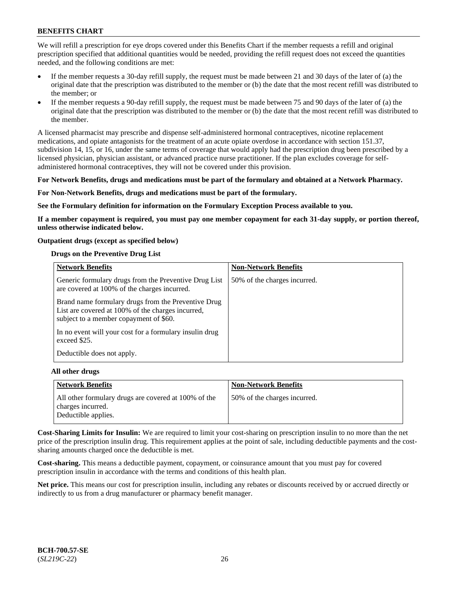We will refill a prescription for eye drops covered under this Benefits Chart if the member requests a refill and original prescription specified that additional quantities would be needed, providing the refill request does not exceed the quantities needed, and the following conditions are met:

- If the member requests a 30-day refill supply, the request must be made between 21 and 30 days of the later of (a) the original date that the prescription was distributed to the member or (b) the date that the most recent refill was distributed to the member; or
- If the member requests a 90-day refill supply, the request must be made between 75 and 90 days of the later of (a) the original date that the prescription was distributed to the member or (b) the date that the most recent refill was distributed to the member.

A licensed pharmacist may prescribe and dispense self-administered hormonal contraceptives, nicotine replacement medications, and opiate antagonists for the treatment of an acute opiate overdose in accordance with section 151.37, subdivision 14, 15, or 16, under the same terms of coverage that would apply had the prescription drug been prescribed by a licensed physician, physician assistant, or advanced practice nurse practitioner. If the plan excludes coverage for selfadministered hormonal contraceptives, they will not be covered under this provision.

#### **For Network Benefits, drugs and medications must be part of the formulary and obtained at a Network Pharmacy.**

#### **For Non-Network Benefits, drugs and medications must be part of the formulary.**

**See the Formulary definition for information on the Formulary Exception Process available to you.**

**If a member copayment is required, you must pay one member copayment for each 31-day supply, or portion thereof, unless otherwise indicated below.**

#### **Outpatient drugs (except as specified below)**

#### **Drugs on the Preventive Drug List**

| <b>Network Benefits</b>                                                                                                                            | <b>Non-Network Benefits</b>  |
|----------------------------------------------------------------------------------------------------------------------------------------------------|------------------------------|
| Generic formulary drugs from the Preventive Drug List<br>are covered at 100% of the charges incurred.                                              | 50% of the charges incurred. |
| Brand name formulary drugs from the Preventive Drug<br>List are covered at 100% of the charges incurred,<br>subject to a member copayment of \$60. |                              |
| In no event will your cost for a formulary insulin drug<br>exceed \$25.                                                                            |                              |
| Deductible does not apply.                                                                                                                         |                              |

#### **All other drugs**

| <b>Network Benefits</b>                                                   | <b>Non-Network Benefits</b>  |
|---------------------------------------------------------------------------|------------------------------|
| All other formulary drugs are covered at 100% of the<br>charges incurred. | 50% of the charges incurred. |
| Deductible applies.                                                       |                              |

**Cost-Sharing Limits for Insulin:** We are required to limit your cost-sharing on prescription insulin to no more than the net price of the prescription insulin drug. This requirement applies at the point of sale, including deductible payments and the costsharing amounts charged once the deductible is met.

**Cost-sharing.** This means a deductible payment, copayment, or coinsurance amount that you must pay for covered prescription insulin in accordance with the terms and conditions of this health plan.

**Net price.** This means our cost for prescription insulin, including any rebates or discounts received by or accrued directly or indirectly to us from a drug manufacturer or pharmacy benefit manager.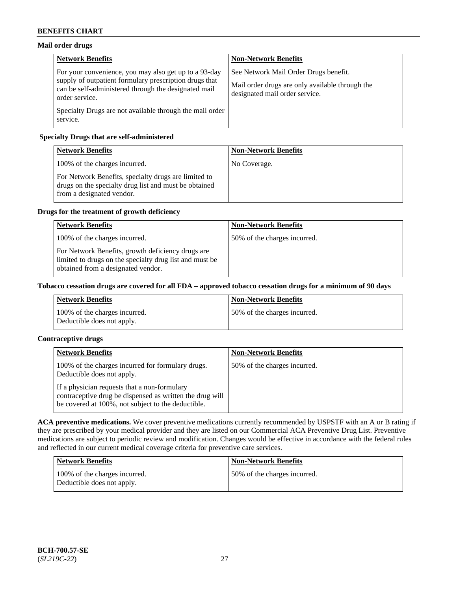## **Mail order drugs**

| <b>Network Benefits</b>                                                                                                                                                                   | <b>Non-Network Benefits</b>                                                                                                |
|-------------------------------------------------------------------------------------------------------------------------------------------------------------------------------------------|----------------------------------------------------------------------------------------------------------------------------|
| For your convenience, you may also get up to a 93-day<br>supply of outpatient formulary prescription drugs that<br>can be self-administered through the designated mail<br>order service. | See Network Mail Order Drugs benefit.<br>Mail order drugs are only available through the<br>designated mail order service. |
| Specialty Drugs are not available through the mail order<br>service.                                                                                                                      |                                                                                                                            |

## **Specialty Drugs that are self-administered**

| <b>Network Benefits</b>                                                                                                                    | <b>Non-Network Benefits</b> |
|--------------------------------------------------------------------------------------------------------------------------------------------|-----------------------------|
| 100% of the charges incurred.                                                                                                              | No Coverage.                |
| For Network Benefits, specialty drugs are limited to<br>drugs on the specialty drug list and must be obtained<br>from a designated vendor. |                             |

## **Drugs for the treatment of growth deficiency**

| <b>Network Benefits</b>                                                                                                                            | <b>Non-Network Benefits</b>  |
|----------------------------------------------------------------------------------------------------------------------------------------------------|------------------------------|
| 100% of the charges incurred.                                                                                                                      | 50% of the charges incurred. |
| For Network Benefits, growth deficiency drugs are<br>limited to drugs on the specialty drug list and must be<br>obtained from a designated vendor. |                              |

### **Tobacco cessation drugs are covered for all FDA – approved tobacco cessation drugs for a minimum of 90 days**

| <b>Network Benefits</b>                                     | <b>Non-Network Benefits</b>  |
|-------------------------------------------------------------|------------------------------|
| 100% of the charges incurred.<br>Deductible does not apply. | 50% of the charges incurred. |

## **Contraceptive drugs**

| <b>Network Benefits</b>                                                                                                                                        | <b>Non-Network Benefits</b>  |
|----------------------------------------------------------------------------------------------------------------------------------------------------------------|------------------------------|
| 100% of the charges incurred for formulary drugs.<br>Deductible does not apply.                                                                                | 50% of the charges incurred. |
| If a physician requests that a non-formulary<br>contraceptive drug be dispensed as written the drug will<br>be covered at 100%, not subject to the deductible. |                              |

**ACA preventive medications.** We cover preventive medications currently recommended by USPSTF with an A or B rating if they are prescribed by your medical provider and they are listed on our Commercial ACA Preventive Drug List. Preventive medications are subject to periodic review and modification. Changes would be effective in accordance with the federal rules and reflected in our current medical coverage criteria for preventive care services.

| Network Benefits                                            | <b>Non-Network Benefits</b>  |
|-------------------------------------------------------------|------------------------------|
| 100% of the charges incurred.<br>Deductible does not apply. | 50% of the charges incurred. |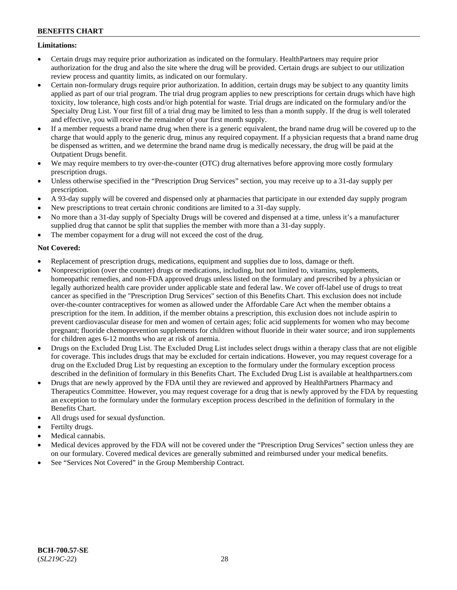### **Limitations:**

- Certain drugs may require prior authorization as indicated on the formulary. HealthPartners may require prior authorization for the drug and also the site where the drug will be provided. Certain drugs are subject to our utilization review process and quantity limits, as indicated on our formulary.
- Certain non-formulary drugs require prior authorization. In addition, certain drugs may be subject to any quantity limits applied as part of our trial program. The trial drug program applies to new prescriptions for certain drugs which have high toxicity, low tolerance, high costs and/or high potential for waste. Trial drugs are indicated on the formulary and/or the Specialty Drug List. Your first fill of a trial drug may be limited to less than a month supply. If the drug is well tolerated and effective, you will receive the remainder of your first month supply.
- If a member requests a brand name drug when there is a generic equivalent, the brand name drug will be covered up to the charge that would apply to the generic drug, minus any required copayment. If a physician requests that a brand name drug be dispensed as written, and we determine the brand name drug is medically necessary, the drug will be paid at the Outpatient Drugs benefit.
- We may require members to try over-the-counter (OTC) drug alternatives before approving more costly formulary prescription drugs.
- Unless otherwise specified in the "Prescription Drug Services" section, you may receive up to a 31-day supply per prescription.
- A 93-day supply will be covered and dispensed only at pharmacies that participate in our extended day supply program
- New prescriptions to treat certain chronic conditions are limited to a 31-day supply.
- No more than a 31-day supply of Specialty Drugs will be covered and dispensed at a time, unless it's a manufacturer supplied drug that cannot be split that supplies the member with more than a 31-day supply.
- The member copayment for a drug will not exceed the cost of the drug.

## **Not Covered:**

- Replacement of prescription drugs, medications, equipment and supplies due to loss, damage or theft.
- Nonprescription (over the counter) drugs or medications, including, but not limited to, vitamins, supplements, homeopathic remedies, and non-FDA approved drugs unless listed on the formulary and prescribed by a physician or legally authorized health care provider under applicable state and federal law. We cover off-label use of drugs to treat cancer as specified in the "Prescription Drug Services" section of this Benefits Chart. This exclusion does not include over-the-counter contraceptives for women as allowed under the Affordable Care Act when the member obtains a prescription for the item. In addition, if the member obtains a prescription, this exclusion does not include aspirin to prevent cardiovascular disease for men and women of certain ages; folic acid supplements for women who may become pregnant; fluoride chemoprevention supplements for children without fluoride in their water source; and iron supplements for children ages 6-12 months who are at risk of anemia.
- Drugs on the Excluded Drug List. The Excluded Drug List includes select drugs within a therapy class that are not eligible for coverage. This includes drugs that may be excluded for certain indications. However, you may request coverage for a drug on the Excluded Drug List by requesting an exception to the formulary under the formulary exception process described in the definition of formulary in this Benefits Chart. The Excluded Drug List is available at [healthpartners.com](http://www.healthpartners.com/)
- Drugs that are newly approved by the FDA until they are reviewed and approved by HealthPartners Pharmacy and Therapeutics Committee. However, you may request coverage for a drug that is newly approved by the FDA by requesting an exception to the formulary under the formulary exception process described in the definition of formulary in the Benefits Chart.
- All drugs used for sexual dysfunction.
- Fertilty drugs.
- Medical cannabis.
- Medical devices approved by the FDA will not be covered under the "Prescription Drug Services" section unless they are on our formulary. Covered medical devices are generally submitted and reimbursed under your medical benefits.
- See "Services Not Covered" in the Group Membership Contract.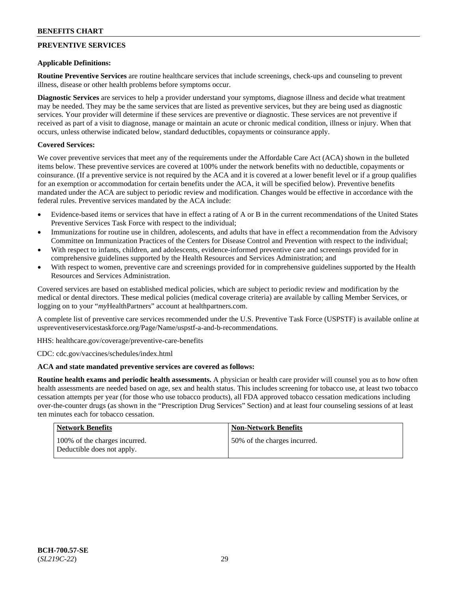## **PREVENTIVE SERVICES**

### **Applicable Definitions:**

**Routine Preventive Services** are routine healthcare services that include screenings, check-ups and counseling to prevent illness, disease or other health problems before symptoms occur.

**Diagnostic Services** are services to help a provider understand your symptoms, diagnose illness and decide what treatment may be needed. They may be the same services that are listed as preventive services, but they are being used as diagnostic services. Your provider will determine if these services are preventive or diagnostic. These services are not preventive if received as part of a visit to diagnose, manage or maintain an acute or chronic medical condition, illness or injury. When that occurs, unless otherwise indicated below, standard deductibles, copayments or coinsurance apply.

### **Covered Services:**

We cover preventive services that meet any of the requirements under the Affordable Care Act (ACA) shown in the bulleted items below. These preventive services are covered at 100% under the network benefits with no deductible, copayments or coinsurance. (If a preventive service is not required by the ACA and it is covered at a lower benefit level or if a group qualifies for an exemption or accommodation for certain benefits under the ACA, it will be specified below). Preventive benefits mandated under the ACA are subject to periodic review and modification. Changes would be effective in accordance with the federal rules. Preventive services mandated by the ACA include:

- Evidence-based items or services that have in effect a rating of A or B in the current recommendations of the United States Preventive Services Task Force with respect to the individual;
- Immunizations for routine use in children, adolescents, and adults that have in effect a recommendation from the Advisory Committee on Immunization Practices of the Centers for Disease Control and Prevention with respect to the individual;
- With respect to infants, children, and adolescents, evidence-informed preventive care and screenings provided for in comprehensive guidelines supported by the Health Resources and Services Administration; and
- With respect to women, preventive care and screenings provided for in comprehensive guidelines supported by the Health Resources and Services Administration.

Covered services are based on established medical policies, which are subject to periodic review and modification by the medical or dental directors. These medical policies (medical coverage criteria) are available by calling Member Services, or logging on to your "*my*HealthPartners" account at [healthpartners.com.](http://www.healthpartners.com/)

A complete list of preventive care services recommended under the U.S. Preventive Task Force (USPSTF) is available online at [uspreventiveservicestaskforce.org/Page/Name/uspstf-a-and-b-recommendations.](https://www.uspreventiveservicestaskforce.org/Page/Name/uspstf-a-and-b-recommendations-by-date/)

HHS: [healthcare.gov/coverage/preventive-care-benefits](https://www.healthcare.gov/coverage/preventive-care-benefits/)

CDC: [cdc.gov/vaccines/schedules/index.html](https://www.cdc.gov/vaccines/schedules/index.html)

### **ACA and state mandated preventive services are covered as follows:**

**Routine health exams and periodic health assessments.** A physician or health care provider will counsel you as to how often health assessments are needed based on age, sex and health status. This includes screening for tobacco use, at least two tobacco cessation attempts per year (for those who use tobacco products), all FDA approved tobacco cessation medications including over-the-counter drugs (as shown in the "Prescription Drug Services" Section) and at least four counseling sessions of at least ten minutes each for tobacco cessation.

| <b>Network Benefits</b>                                     | <b>Non-Network Benefits</b>  |
|-------------------------------------------------------------|------------------------------|
| 100% of the charges incurred.<br>Deductible does not apply. | 50% of the charges incurred. |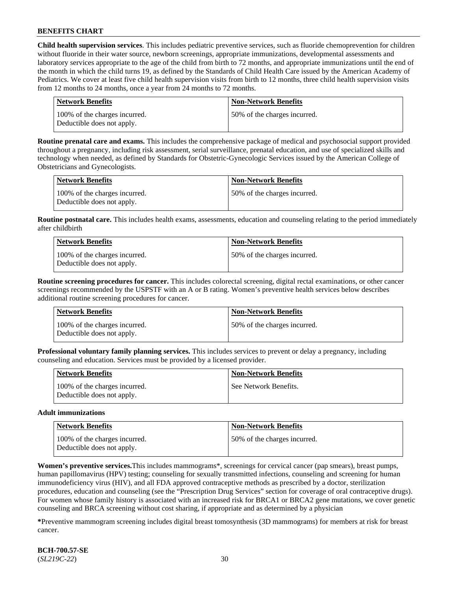**Child health supervision services**. This includes pediatric preventive services, such as fluoride chemoprevention for children without fluoride in their water source, newborn screenings, appropriate immunizations, developmental assessments and laboratory services appropriate to the age of the child from birth to 72 months, and appropriate immunizations until the end of the month in which the child turns 19, as defined by the Standards of Child Health Care issued by the American Academy of Pediatrics. We cover at least five child health supervision visits from birth to 12 months, three child health supervision visits from 12 months to 24 months, once a year from 24 months to 72 months.

| Network Benefits                                            | <b>Non-Network Benefits</b>  |
|-------------------------------------------------------------|------------------------------|
| 100% of the charges incurred.<br>Deductible does not apply. | 50% of the charges incurred. |

**Routine prenatal care and exams.** This includes the comprehensive package of medical and psychosocial support provided throughout a pregnancy, including risk assessment, serial surveillance, prenatal education, and use of specialized skills and technology when needed, as defined by Standards for Obstetric-Gynecologic Services issued by the American College of Obstetricians and Gynecologists.

| Network Benefits                                            | <b>Non-Network Benefits</b>  |
|-------------------------------------------------------------|------------------------------|
| 100% of the charges incurred.<br>Deductible does not apply. | 50% of the charges incurred. |

**Routine postnatal care.** This includes health exams, assessments, education and counseling relating to the period immediately after childbirth

| Network Benefits                                            | Non-Network Benefits         |
|-------------------------------------------------------------|------------------------------|
| 100% of the charges incurred.<br>Deductible does not apply. | 50% of the charges incurred. |

**Routine screening procedures for cancer.** This includes colorectal screening, digital rectal examinations, or other cancer screenings recommended by the USPSTF with an A or B rating. Women's preventive health services below describes additional routine screening procedures for cancer.

| Network Benefits                                            | <b>Non-Network Benefits</b>  |
|-------------------------------------------------------------|------------------------------|
| 100% of the charges incurred.<br>Deductible does not apply. | 50% of the charges incurred. |

**Professional voluntary family planning services.** This includes services to prevent or delay a pregnancy, including counseling and education. Services must be provided by a licensed provider.

| <b>Network Benefits</b>                                     | <b>Non-Network Benefits</b> |
|-------------------------------------------------------------|-----------------------------|
| 100% of the charges incurred.<br>Deductible does not apply. | See Network Benefits.       |

#### **Adult immunizations**

| <b>Network Benefits</b>                                     | <b>Non-Network Benefits</b>  |
|-------------------------------------------------------------|------------------------------|
| 100% of the charges incurred.<br>Deductible does not apply. | 50% of the charges incurred. |

**Women's preventive services.**This includes mammograms\*, screenings for cervical cancer (pap smears), breast pumps, human papillomavirus (HPV) testing; counseling for sexually transmitted infections, counseling and screening for human immunodeficiency virus (HIV), and all FDA approved contraceptive methods as prescribed by a doctor, sterilization procedures, education and counseling (see the "Prescription Drug Services" section for coverage of oral contraceptive drugs). For women whose family history is associated with an increased risk for BRCA1 or BRCA2 gene mutations, we cover genetic counseling and BRCA screening without cost sharing, if appropriate and as determined by a physician

**\***Preventive mammogram screening includes digital breast tomosynthesis (3D mammograms) for members at risk for breast cancer.

**BCH-700.57-SE** (*SL219C-22*) 30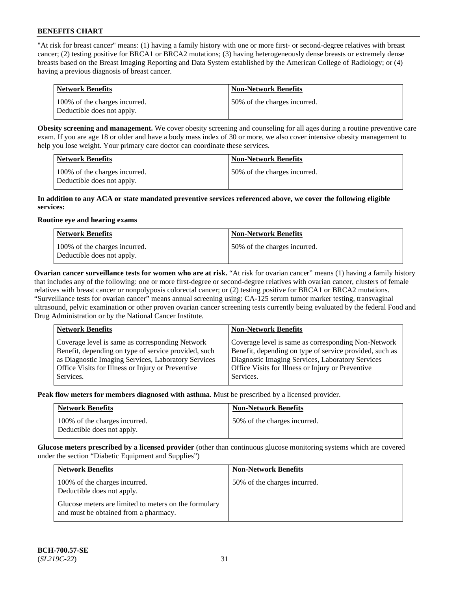"At risk for breast cancer" means: (1) having a family history with one or more first- or second-degree relatives with breast cancer; (2) testing positive for BRCA1 or BRCA2 mutations; (3) having heterogeneously dense breasts or extremely dense breasts based on the Breast Imaging Reporting and Data System established by the American College of Radiology; or (4) having a previous diagnosis of breast cancer.

| Network Benefits                                            | <b>Non-Network Benefits</b>  |
|-------------------------------------------------------------|------------------------------|
| 100% of the charges incurred.<br>Deductible does not apply. | 50% of the charges incurred. |

**Obesity screening and management.** We cover obesity screening and counseling for all ages during a routine preventive care exam. If you are age 18 or older and have a body mass index of 30 or more, we also cover intensive obesity management to help you lose weight. Your primary care doctor can coordinate these services.

| <b>Network Benefits</b>                                     | <b>Non-Network Benefits</b>  |
|-------------------------------------------------------------|------------------------------|
| 100% of the charges incurred.<br>Deductible does not apply. | 50% of the charges incurred. |

#### **In addition to any ACA or state mandated preventive services referenced above, we cover the following eligible services:**

#### **Routine eye and hearing exams**

| <b>Network Benefits</b>                                     | <b>Non-Network Benefits</b>  |
|-------------------------------------------------------------|------------------------------|
| 100% of the charges incurred.<br>Deductible does not apply. | 50% of the charges incurred. |

**Ovarian cancer surveillance tests for women who are at risk.** "At risk for ovarian cancer" means (1) having a family history that includes any of the following: one or more first-degree or second-degree relatives with ovarian cancer, clusters of female relatives with breast cancer or nonpolyposis colorectal cancer; or (2) testing positive for BRCA1 or BRCA2 mutations. "Surveillance tests for ovarian cancer" means annual screening using: CA-125 serum tumor marker testing, transvaginal ultrasound, pelvic examination or other proven ovarian cancer screening tests currently being evaluated by the federal Food and Drug Administration or by the National Cancer Institute.

| <b>Network Benefits</b>                                                                                                                                                                                                          | <b>Non-Network Benefits</b>                                                                                                                                                                                                          |
|----------------------------------------------------------------------------------------------------------------------------------------------------------------------------------------------------------------------------------|--------------------------------------------------------------------------------------------------------------------------------------------------------------------------------------------------------------------------------------|
| Coverage level is same as corresponding Network<br>Benefit, depending on type of service provided, such<br>as Diagnostic Imaging Services, Laboratory Services<br>Office Visits for Illness or Injury or Preventive<br>Services. | Coverage level is same as corresponding Non-Network<br>Benefit, depending on type of service provided, such as<br>Diagnostic Imaging Services, Laboratory Services<br>Office Visits for Illness or Injury or Preventive<br>Services. |
|                                                                                                                                                                                                                                  |                                                                                                                                                                                                                                      |

**Peak flow meters for members diagnosed with asthma.** Must be prescribed by a licensed provider.

| <b>Network Benefits</b>                                     | <b>Non-Network Benefits</b>  |
|-------------------------------------------------------------|------------------------------|
| 100% of the charges incurred.<br>Deductible does not apply. | 50% of the charges incurred. |

**Glucose meters prescribed by a licensed provider** (other than continuous glucose monitoring systems which are covered under the section "Diabetic Equipment and Supplies")

| <b>Network Benefits</b>                                                                        | <b>Non-Network Benefits</b>  |
|------------------------------------------------------------------------------------------------|------------------------------|
| 100% of the charges incurred.<br>Deductible does not apply.                                    | 50% of the charges incurred. |
| Glucose meters are limited to meters on the formulary<br>and must be obtained from a pharmacy. |                              |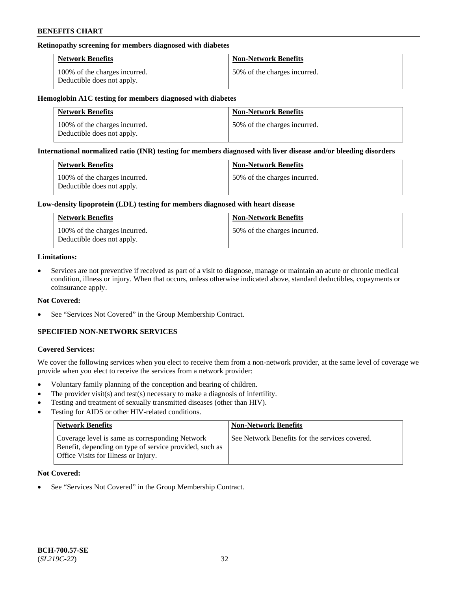### **Retinopathy screening for members diagnosed with diabetes**

| <b>Network Benefits</b>                                     | <b>Non-Network Benefits</b>  |
|-------------------------------------------------------------|------------------------------|
| 100% of the charges incurred.<br>Deductible does not apply. | 50% of the charges incurred. |

#### **Hemoglobin A1C testing for members diagnosed with diabetes**

| <b>Network Benefits</b>                                     | <b>Non-Network Benefits</b>  |
|-------------------------------------------------------------|------------------------------|
| 100% of the charges incurred.<br>Deductible does not apply. | 50% of the charges incurred. |

#### **International normalized ratio (INR) testing for members diagnosed with liver disease and/or bleeding disorders**

| <b>Network Benefits</b>                                     | <b>Non-Network Benefits</b>  |
|-------------------------------------------------------------|------------------------------|
| 100% of the charges incurred.<br>Deductible does not apply. | 50% of the charges incurred. |

#### **Low-density lipoprotein (LDL) testing for members diagnosed with heart disease**

| <b>Network Benefits</b>                                     | <b>Non-Network Benefits</b>  |
|-------------------------------------------------------------|------------------------------|
| 100% of the charges incurred.<br>Deductible does not apply. | 50% of the charges incurred. |

#### **Limitations:**

• Services are not preventive if received as part of a visit to diagnose, manage or maintain an acute or chronic medical condition, illness or injury. When that occurs, unless otherwise indicated above, standard deductibles, copayments or coinsurance apply.

### **Not Covered:**

See "Services Not Covered" in the Group Membership Contract.

## **SPECIFIED NON-NETWORK SERVICES**

### **Covered Services:**

We cover the following services when you elect to receive them from a non-network provider, at the same level of coverage we provide when you elect to receive the services from a network provider:

- Voluntary family planning of the conception and bearing of children.
- The provider visit(s) and test(s) necessary to make a diagnosis of infertility.
- Testing and treatment of sexually transmitted diseases (other than HIV).
- Testing for AIDS or other HIV-related conditions.

| <b>Network Benefits</b>                                                                                                                            | <b>Non-Network Benefits</b>                    |
|----------------------------------------------------------------------------------------------------------------------------------------------------|------------------------------------------------|
| Coverage level is same as corresponding Network<br>Benefit, depending on type of service provided, such as<br>Office Visits for Illness or Injury. | See Network Benefits for the services covered. |

### **Not Covered:**

See "Services Not Covered" in the Group Membership Contract.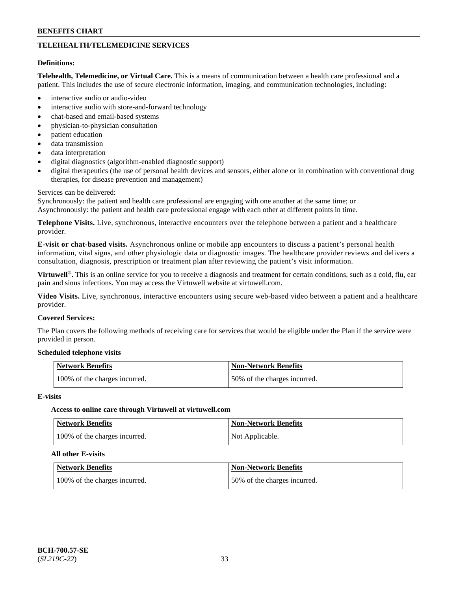## **TELEHEALTH/TELEMEDICINE SERVICES**

#### **Definitions:**

**Telehealth, Telemedicine, or Virtual Care.** This is a means of communication between a health care professional and a patient. This includes the use of secure electronic information, imaging, and communication technologies, including:

- interactive audio or audio-video
- interactive audio with store-and-forward technology
- chat-based and email-based systems
- physician-to-physician consultation
- patient education
- data transmission
- data interpretation
- digital diagnostics (algorithm-enabled diagnostic support)
- digital therapeutics (the use of personal health devices and sensors, either alone or in combination with conventional drug therapies, for disease prevention and management)

#### Services can be delivered:

Synchronously: the patient and health care professional are engaging with one another at the same time; or Asynchronously: the patient and health care professional engage with each other at different points in time.

**Telephone Visits.** Live, synchronous, interactive encounters over the telephone between a patient and a healthcare provider.

**E-visit or chat-based visits.** Asynchronous online or mobile app encounters to discuss a patient's personal health information, vital signs, and other physiologic data or diagnostic images. The healthcare provider reviews and delivers a consultation, diagnosis, prescription or treatment plan after reviewing the patient's visit information.

**Virtuwell<sup>®</sup>**. This is an online service for you to receive a diagnosis and treatment for certain conditions, such as a cold, flu, ear pain and sinus infections. You may access the Virtuwell website at [virtuwell.com.](https://www.virtuwell.com/)

**Video Visits.** Live, synchronous, interactive encounters using secure web-based video between a patient and a healthcare provider.

#### **Covered Services:**

The Plan covers the following methods of receiving care for services that would be eligible under the Plan if the service were provided in person.

#### **Scheduled telephone visits**

| Network Benefits              | <b>Non-Network Benefits</b>  |
|-------------------------------|------------------------------|
| 100% of the charges incurred. | 50% of the charges incurred. |

#### **E-visits**

### **Access to online care through Virtuwell at [virtuwell.com](https://www.virtuwell.com/)**

| <b>Network Benefits</b>       | <b>Non-Network Benefits</b> |
|-------------------------------|-----------------------------|
| 100% of the charges incurred. | Not Applicable.             |

#### **All other E-visits**

| <b>Network Benefits</b>       | <b>Non-Network Benefits</b>  |
|-------------------------------|------------------------------|
| 100% of the charges incurred. | 50% of the charges incurred. |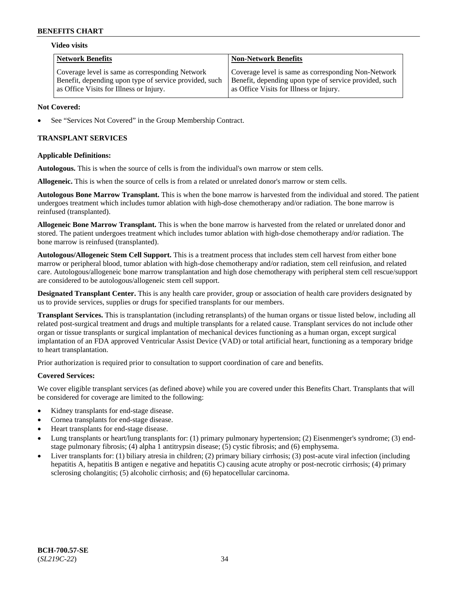#### **Video visits**

| <b>Network Benefits</b>                                | <b>Non-Network Benefits</b>                            |
|--------------------------------------------------------|--------------------------------------------------------|
| Coverage level is same as corresponding Network        | Coverage level is same as corresponding Non-Network    |
| Benefit, depending upon type of service provided, such | Benefit, depending upon type of service provided, such |
| as Office Visits for Illness or Injury.                | as Office Visits for Illness or Injury.                |

### **Not Covered:**

See "Services Not Covered" in the Group Membership Contract.

## **TRANSPLANT SERVICES**

### **Applicable Definitions:**

**Autologous.** This is when the source of cells is from the individual's own marrow or stem cells.

**Allogeneic.** This is when the source of cells is from a related or unrelated donor's marrow or stem cells.

**Autologous Bone Marrow Transplant.** This is when the bone marrow is harvested from the individual and stored. The patient undergoes treatment which includes tumor ablation with high-dose chemotherapy and/or radiation. The bone marrow is reinfused (transplanted).

**Allogeneic Bone Marrow Transplant.** This is when the bone marrow is harvested from the related or unrelated donor and stored. The patient undergoes treatment which includes tumor ablation with high-dose chemotherapy and/or radiation. The bone marrow is reinfused (transplanted).

**Autologous/Allogeneic Stem Cell Support.** This is a treatment process that includes stem cell harvest from either bone marrow or peripheral blood, tumor ablation with high-dose chemotherapy and/or radiation, stem cell reinfusion, and related care. Autologous/allogeneic bone marrow transplantation and high dose chemotherapy with peripheral stem cell rescue/support are considered to be autologous/allogeneic stem cell support.

**Designated Transplant Center.** This is any health care provider, group or association of health care providers designated by us to provide services, supplies or drugs for specified transplants for our members.

**Transplant Services.** This is transplantation (including retransplants) of the human organs or tissue listed below, including all related post-surgical treatment and drugs and multiple transplants for a related cause. Transplant services do not include other organ or tissue transplants or surgical implantation of mechanical devices functioning as a human organ, except surgical implantation of an FDA approved Ventricular Assist Device (VAD) or total artificial heart, functioning as a temporary bridge to heart transplantation.

Prior authorization is required prior to consultation to support coordination of care and benefits.

### **Covered Services:**

We cover eligible transplant services (as defined above) while you are covered under this Benefits Chart. Transplants that will be considered for coverage are limited to the following:

- Kidney transplants for end-stage disease.
- Cornea transplants for end-stage disease.
- Heart transplants for end-stage disease.
- Lung transplants or heart/lung transplants for: (1) primary pulmonary hypertension; (2) Eisenmenger's syndrome; (3) endstage pulmonary fibrosis; (4) alpha 1 antitrypsin disease; (5) cystic fibrosis; and (6) emphysema.
- Liver transplants for: (1) biliary atresia in children; (2) primary biliary cirrhosis; (3) post-acute viral infection (including hepatitis A, hepatitis B antigen e negative and hepatitis C) causing acute atrophy or post-necrotic cirrhosis; (4) primary sclerosing cholangitis; (5) alcoholic cirrhosis; and (6) hepatocellular carcinoma.